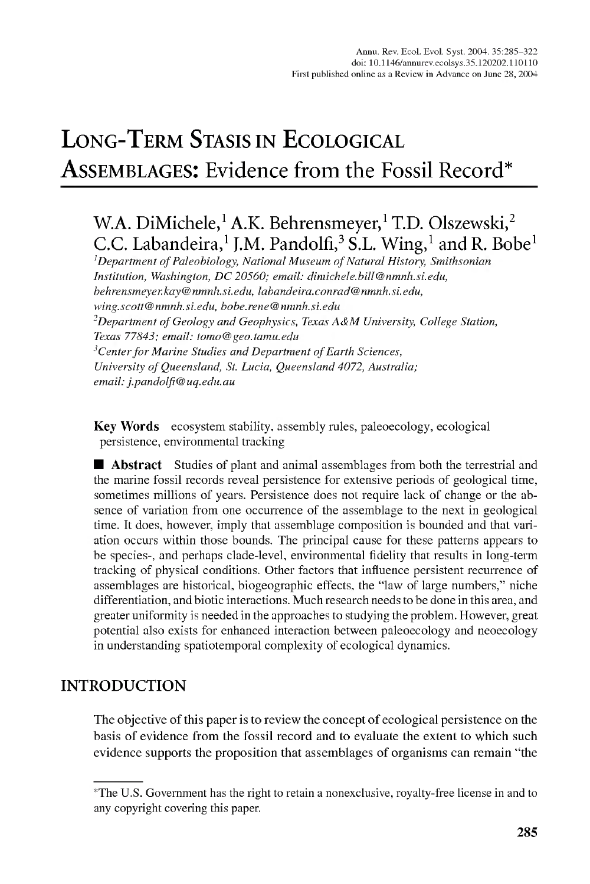# LONG-TERM STASIS IN ECOLOGICAL ASSEMBLAGES: Evidence from the Fossil Record^

## W.A. DiMichele,<sup>1</sup> A.K. Behrensmeyer,<sup>1</sup> T.D. Olszewski,<sup>2</sup> C.C. Labandeira,<sup>1</sup> J.M. Pandolfi,<sup>3</sup> S.L. Wing,<sup>1</sup> and R. Bobe<sup>1</sup>

*'Department ofPaleobiology, National Museum ofNatural History, Smithsonian Institution, Washington, DC 20560; email: dimichele.bill@nmnh.si.edu, behrensmeyer.kay@nmnh.si.edu, labandeira.conrad@nmnh.si.edu, wing.scott@nmnh.si. edu, bobe.rene* @ *nmnh.si. edu ^Department ofGeology and Geophysics, Texas A&M University, College Station, Texas 77843; email: tomo@geo.tamu.edu ^Centerfor Marine Studies and Department ofEarth Sciences, University of Queensland, St. Lucia, Queensland 4072, Australia; email: j.pandolfi*@ *uq. edu. au*

**Key Words** ecosystem stability, assembly rules, paleoecology, ecological persistence, environmental tracking

**I Abstract** Studies of plant and animal assemblages from both the terrestrial and the marine fossil records reveal persistence for extensive periods of geological time, sometimes millions of years. Persistence does not require lack of change or the absence of variation from one occurrence of the assemblage to the next in geological time. It does, however, imply that assemblage composition is bounded and that variation occurs within those bounds. The principal cause for these patterns appears to be species-, and perhaps clade-level, environmental fidelity that results in long-term tracking of physical conditions. Other factors that influence persistent recurrence of assemblages are historical, biogeographic effects, the "law of large numbers," niche differentiation, and biotic interactions. Much research needs to be done in this area, and greater uniformity is needed in the approaches to studying the problem. However, great potential also exists for enhanced interaction between paleoecology and neoecology in understanding spatiotemporal complexity of ecological dynamics.

## INTRODUCTION

The objective of this paper is to review the concept of ecological persistence on the basis of evidence from the fossil record and to evaluate the extent to which such evidence supports the proposition that assemblages of organisms can remain "the

<sup>\*</sup>The U.S. Government has the right to retain a nonexclusive, royalty-free license in and to any copyright covering this paper.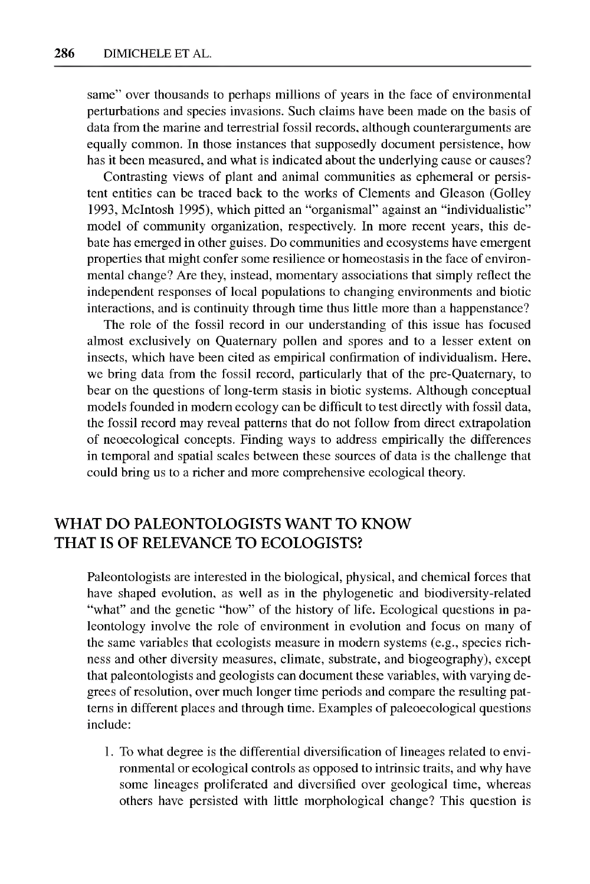same" over thousands to perhaps millions of years in the face of environmental perturbations and species invasions. Such claims have been made on the basis of data from the marine and terrestrial fossil records, although counterarguments are equally common. In those instances that supposedly document persistence, how has it been measured, and what is indicated about the underlying cause or causes?

Contrasting views of plant and animal communities as ephemeral or persistent entities can be traced back to the works of Clements and Gleason (Golley 1993, Mclntosh 1995), which pitted an "organismal" against an "individualistic" model of community organization, respectively. In more recent years, this debate has emerged in other guises. Do communities and ecosystems have emergent properties that might confer some resilience or homeostasis in the face of environmental change? Are they, instead, momentary associations that simply reflect the independent responses of local populations to changing environments and biotic interactions, and is continuity through time thus little more than a happenstance?

The role of the fossil record in our understanding of this issue has focused almost exclusively on Quaternary pollen and spores and to a lesser extent on insects, which have been cited as empirical confirmation of individualism. Here, we bring data from the fossil record, particularly that of the pre-Quaternary, to bear on the questions of long-term stasis in biotic systems. Although conceptual models founded in modem ecology can be difficult to test directly with fossil data, the fossil record may reveal patterns that do not follow from direct extrapolation of neoecological concepts. Finding ways to address empirically the differences in temporal and spatial scales between these sources of data is the challenge that could bring us to a richer and more comprehensive ecological theory.

## WHAT DO PALEONTOLOGISTS WANT TO KNOW THAT IS OF RELEVANCE TO ECOLOGISTS?

Paleontologists are interested in the biological, physical, and chemical forces that have shaped evolution, as well as in the phylogenetic and biodiversity-related "what" and the genetic "how" of the history of life. Ecological questions in paleontology involve the role of environment in evolution and focus on many of the same variables that ecologists measure in modern systems (e.g., species richness and other diversity measures, climate, substrate, and biogeography), except that paleontologists and geologists can document these variables, with varying degrees of resolution, over much longer time periods and compare the resulting patterns in different places and through time. Examples of paleoecological questions include:

1. To what degree is the differential diversification of lineages related to environmental or ecological controls as opposed to intrinsic traits, and why have some lineages proliferated and diversified over geological time, whereas others have persisted with little morphological change? This question is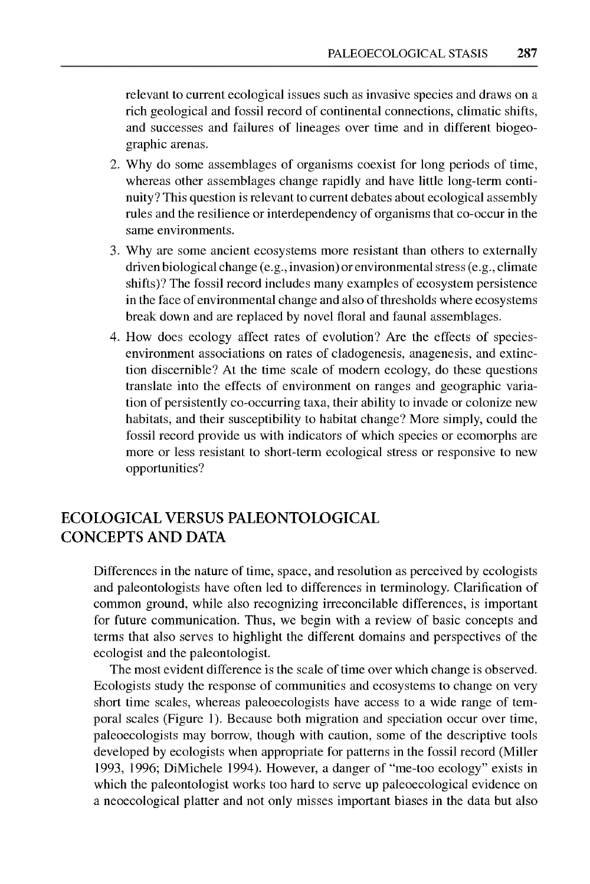relevant to current ecological issues such as invasive species and draws on a rich geological and fossil record of continental connections, climatic shifts, and successes and failures of lineages over time and in different biogeographic arenas.

- 2. Why do some assemblages of organisms coexist for long periods of time, whereas other assemblages change rapidly and have little long-term continuity? This question is relevant to current debates about ecological assembly rules and the resilience or interdependency of organisms that co-occur in the same environments.
- 3. Why are some ancient ecosystems more resistant than others to externally driven biological change (e.g., invasion) or environmental stress (e.g., climate shifts)? The fossil record includes many examples of ecosystem persistence in the face of environmental change and also of thresholds where ecosystems break down and are replaced by novel floral and faunal assemblages.
- 4. How does ecology affect rates of evolution? Are the effects of speciesenvironment associations on rates of cladogenesis, anagenesis, and extinction discernible? At the time scale of modern ecology, do these questions translate into the effects of environment on ranges and geographic variation of persistently co-occurring taxa, their ability to invade or colonize new habitats, and their susceptibility to habitat change? More simply, could the fossil record provide us with indicators of which species or ecomorphs are more or less resistant to short-term ecological stress or responsive to new opportunities?

## ECOLOGICAL VERSUS PALEONTOLOGICAL CONCEPTS AND DATA

Differences in the nature of time, space, and resolution as perceived by ecologists and paleontologists have often led to differences in terminology. Clarification of common ground, while also recognizing irreconcilable differences, is important for future communication. Thus, we begin with a review of basic concepts and terms that also serves to highlight the different domains and perspectives of the ecologist and the paleontologist.

The most evident difference is the scale of time over which change is observed. Ecologists study the response of communities and ecosystems to change on very short time scales, whereas paleoecologists have access to a wide range of temporal scales (Figure 1). Because both migration and speciation occur over time, paleoecologists may borrow, though with caution, some of the descriptive tools developed by ecologists when appropriate for patterns in the fossil record (Miller 1993, 1996; DiMichele 1994). However, a danger of "me-too ecology" exists in which the paleontologist works too hard to serve up paleoecological evidence on a neoecological platter and not only misses important biases in the data but also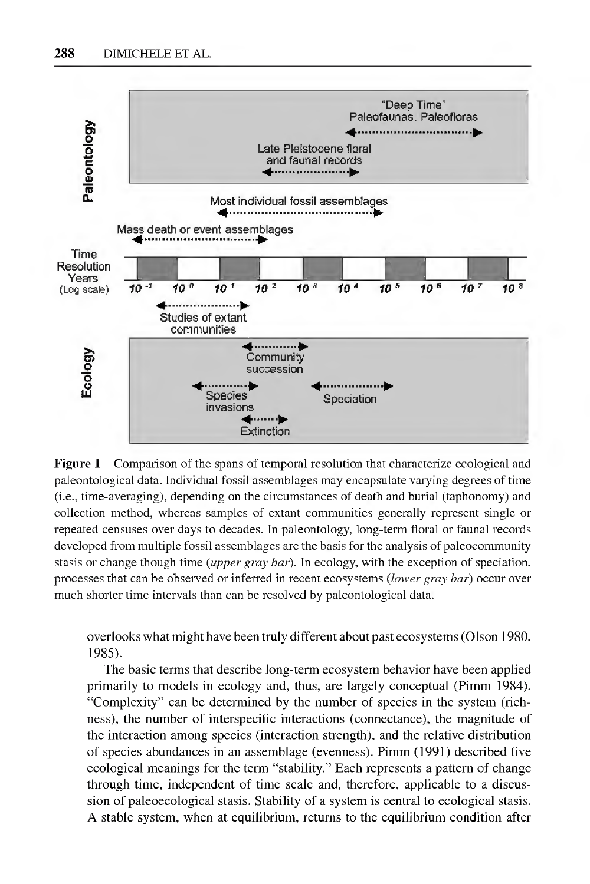

Figure 1 Comparison of the spans of temporal resolution that characterize ecological and paleontológica! data. Individual fossil assemblages may encapsulate varying degrees of time (i.e., time-averaging), depending on the circumstances of death and burial (taphonomy) and collection method, whereas samples of extant communities generally represent single or repeated censuses over days to decades. In paleontology, long-term floral or faunal records developed from multiple fossil assemblages are the basis for the analysis of paleocommunity stasis or change though time *{upper gray bar).* In ecology, with the exception of speciation, processes that can be observed or inferred in recent ecosystems *{lower gray bar)* occur over much shorter time intervals than can be resolved by paleontological data.

overlooks what might have been truly different about past ecosystems (Olson 1980, 1985).

The basic terms that describe long-term ecosystem behavior have been applied primarily to models in ecology and, thus, are largely conceptual (Pimm 1984). "Complexity" can be determined by the number of species in the system (richness), the number of interspecific interactions (connectance), the magnitude of the interaction among species (interaction strength), and the relative distribution of species abundances in an assemblage (evenness). Pimm (1991) described five ecological meanings for the term "stability." Each represents a pattern of change through time, independent of time scale and, therefore, applicable to a discussion of paleoecological stasis. Stability of a system is central to ecological stasis. A stable system, when at equilibrium, returns to the equilibrium condition after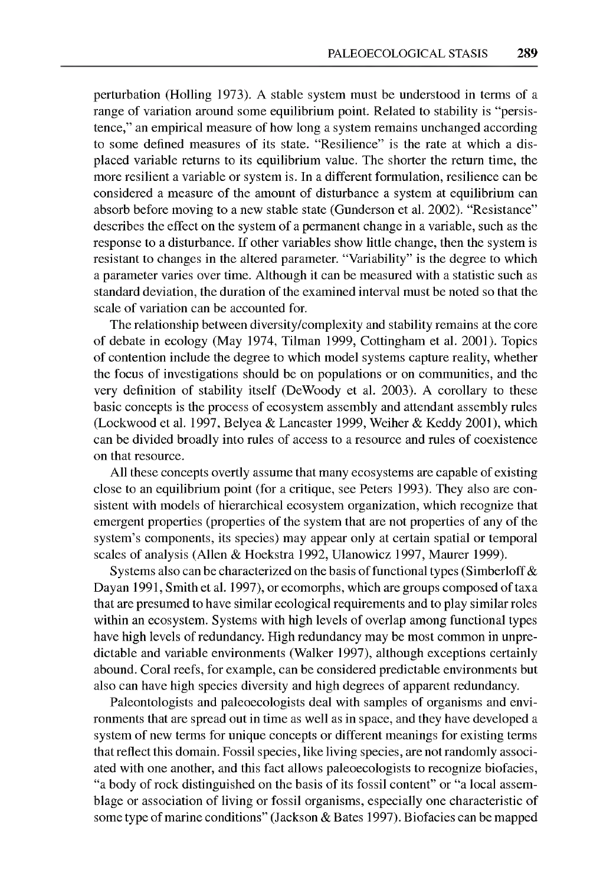perturbation (Holling 1973). A stable system must be understood in terms of a range of variation around some equilibrium point. Related to stability is "persistence," an empirical measure of how long a system remains unchanged according to some defined measures of its state. "Resilience" is the rate at which a displaced variable returns to its equilibrium value. The shorter the return time, the more resilient a variable or system is. In a different formulation, resilience can be considered a measure of the amount of disturbance a system at equilibrium can absorb before moving to a new stable state (Gunderson et al. 2002). "Resistance" describes the effect on the system of a permanent change in a variable, such as the response to a disturbance. If other variables show little change, then the system is resistant to changes in the altered parameter. "Variability" is the degree to which a parameter varies over time. Although it can be measured with a statistic such as standard deviation, the duration of the examined interval must be noted so that the scale of variation can be accounted for.

The relationship between diversity/complexity and stability remains at the core of debate in ecology (May 1974, Tilman 1999, Cottingham et al. 2001). Topics of contention include the degree to which model systems capture reality, whether the focus of investigations should be on populations or on communities, and the very definition of stability itself (DeWoody et al. 2003). A corollary to these basic concepts is the process of ecosystem assembly and attendant assembly rules (Lockwood et al. 1997, Belyea & Lancaster 1999, Weiher & Keddy 2001), which can be divided broadly into rules of access to a resource and rules of coexistence on that resource.

All these concepts overtly assume that many ecosystems are capable of existing close to an equilibrium point (for a critique, see Peters 1993). They also are consistent with models of hierarchical ecosystem organization, which recognize that emergent properties (properties of the system that are not properties of any of the system's components, its species) may appear only at certain spatial or temporal scales of analysis (Allen & Hoekstra 1992, Ulanowicz 1997, Maurer 1999).

Systems also can be characterized on the basis of functional types (Simberloff  $\&$ Dayan 1991, Smith et al. 1997), or ecomorphs, which are groups composed of taxa that are presumed to have similar ecological requirements and to play similar roles within an ecosystem. Systems with high levels of overlap among functional types have high levels of redundancy. High redundancy may be most common in unpredictable and variable environments (Walker 1997), although exceptions certainly abound. Coral reefs, for example, can be considered predictable environments but also can have high species diversity and high degrees of apparent redundancy.

Paleontologists and paleoecologists deal with samples of organisms and environments that are spread out in time as well as in space, and they have developed a system of new terms for unique concepts or different meanings for existing terms that reflect this domain. Fossil species, like living species, are not randomly associated with one another, and this fact allows paleoecologists to recognize biofacies, "a body of rock distinguished on the basis of its fossil content" or "a local assemblage or association of living or fossil organisms, especially one characteristic of some type of marine conditions" (Jackson & Bates 1997). Biofacies can be mapped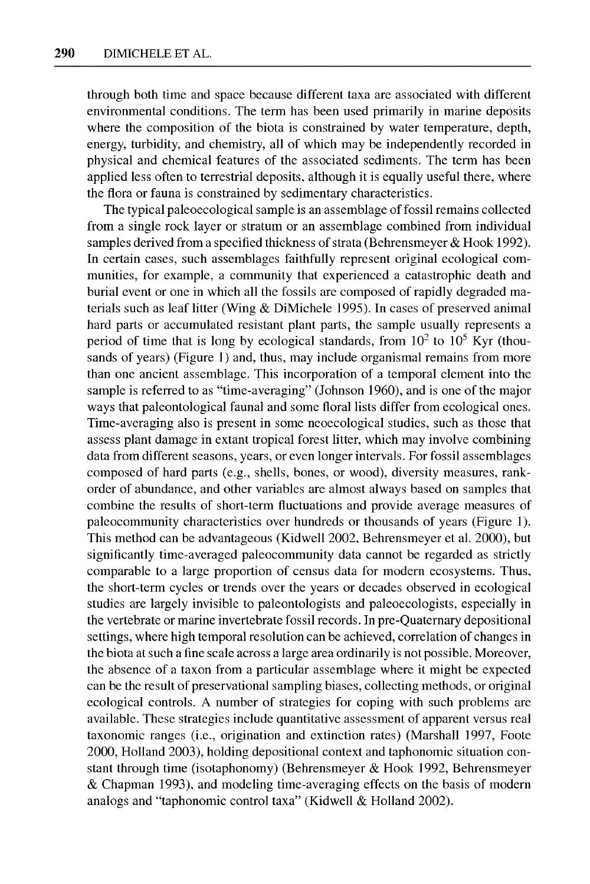through both time and space because different taxa are associated with different environmental conditions. The term has been used primarily in marine deposits where the composition of the biota is constrained by water temperature, depth, energy, turbidity, and chemistry, all of which may be independently recorded in physical and chemical features of the associated sediments. The term has been applied less often to terrestrial deposits, although it is equally useful there, where the flora or fauna is constrained by sedimentary characteristics.

The typical paleoecological sample is an assemblage of fossil remains collected from a single rock layer or stratum or an assemblage combined from individual samples derived from a specified thickness of strata (Behrensmeyer  $&$  Hook 1992). In certain cases, such assemblages faithfully represent original ecological communities, for example, a community that experienced a catastrophic death and burial event or one in which all the fossils are composed of rapidly degraded materials such as leaf litter (Wing  $&$  DiMichele 1995). In cases of preserved animal hard parts or accumulated resistant plant parts, the sample usually represents a period of time that is long by ecological standards, from  $10<sup>2</sup>$  to  $10<sup>5</sup>$  Kyr (thousands of years) (Figure 1) and, thus, may include organismal remains from more than one ancient assemblage. This incorporation of a temporal element into the sample is referred to as "time-averaging" (Johnson 1960), and is one of the major ways that paleontological faunal and some floral lists differ from ecological ones. Time-averaging also is present in some neoecological studies, such as those that assess plant damage in extant tropical forest litter, which may involve combining data from different seasons, years, or even longer intervals. For fossil assemblages composed of hard parts (e.g., shells, bones, or wood), diversity measures, rankorder of abundance, and other variables are almost always based on samples that combine the results of short-term fluctuations and provide average measures of paleocommunity characteristics over hundreds or thousands of years (Figure 1). This method can be advantageous (Kidwell 2002, Behrensmeyer et al. 2000), but significantly time-averaged paleocommunity data cannot be regarded as strictly comparable to a large proportion of census data for modern ecosystems. Thus, the short-term cycles or trends over the years or decades observed in ecological studies are largely invisible to paleontologists and paleoecologists, especially in the vertebrate or marine invertebrate fossil records. In pre-Quaternary depositional settings, where high temporal resolution can be achieved, correlation of changes in the biota at such a fine scale across a large area ordinarily is not possible. Moreover, the absence of a taxon from a particular assemblage where it might be expected can be the result of preservational sampling biases, collecting methods, or original ecological controls. A number of strategies for coping with such problems are available. These strategies include quantitative assessment of apparent versus real taxonomic ranges (i.e., origination and extinction rates) (Marshall 1997, Foote 2000, Holland 2003), holding depositional context and taphonomic situation constant through time (isotaphonomy) (Behrensmeyer & Hook 1992, Behrensmeyer & Chapman 1993), and modeling time-averaging effects on the basis of modern analogs and "taphonomic control taxa" (Kidwell & Holland 2002).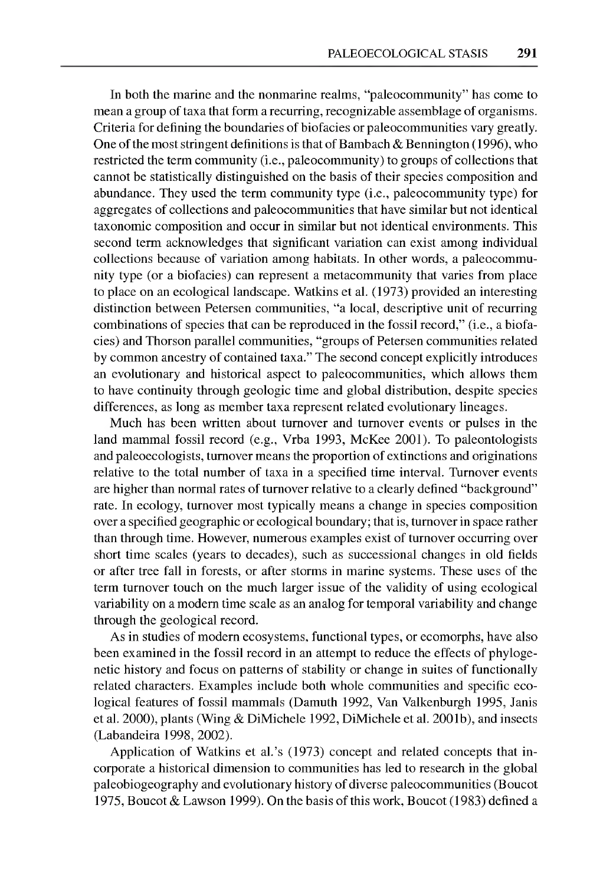In both the marine and the nonmarine realms, "paleocommunity" has come to mean a group of taxa that form a recurring, recognizable assemblage of organisms. Criteria for defining the boundaries of biofacies or paleocommunities vary greatly. One of the most stringent definitions is that of Bambach  $&$  Bennington (1996), who restricted the term community (i.e., paleocommunity) to groups of collections that cannot be statistically distinguished on the basis of their species composition and abundance. They used the term community type (i.e., paleocommunity type) for aggregates of collections and paleocommunities that have similar but not identical taxonomic composition and occur in similar but not identical environments. This second term acknowledges that significant variation can exist among individual collections because of variation among habitats. In other words, a paleocommunity type (or a biofacies) can represent a metacommunity that varies from place to place on an ecological landscape. Watkins et al. (1973) provided an interesting distinction between Petersen communities, "a local, descriptive unit of recurring combinations of species that can be reproduced in the fossil record," (i.e., a biofacies) and Thorson parallel communities, "groups of Petersen communities related by common ancestry of contained taxa." The second concept explicitly introduces an evolutionary and historical aspect to paleocommunities, which allows them to have continuity through geologic time and global distribution, despite species differences, as long as member taxa represent related evolutionary lineages.

Much has been written about turnover and turnover events or pulses in the land mammal fossil record (e.g., Vrba 1993, McKee 2001). To paleontologists and paleoecologists, turnover means the proportion of extinctions and originations relative to the total number of taxa in a specified time interval. Turnover events are higher than normal rates of turnover relative to a clearly defined "background" rate. In ecology, turnover most typically means a change in species composition over a specified geographic or ecological boundary; that is, turnover in space rather than through time. However, numerous examples exist of turnover occurring over short time scales (years to decades), such as successional changes in old fields or after tree fall in forests, or after storms in marine systems. These uses of the term turnover touch on the much larger issue of the validity of using ecological variability on a modern time scale as an analog for temporal variability and change through the geological record.

As in studies of modern ecosystems, functional types, or ecomorphs, have also been examined in the fossil record in an attempt to reduce the effects of phylogenetic history and focus on patterns of stability or change in suites of functionally related characters. Examples include both whole communities and specific ecological features of fossil mammals (Damuth 1992, Van Valkenburgh 1995, Janis et al. 2000), plants (Wing & DiMichele 1992, DiMichele et al. 2001b), and insects (Labandeira 1998, 2002).

Application of Watkins et al.'s (1973) concept and related concepts that incorporate a historical dimension to communities has led to research in the global paleobiogeography and evolutionary history of diverse paleocommunities (Boucot 1975, Boucot & Lawson 1999). On the basis of this work, Boucot (1983) defined a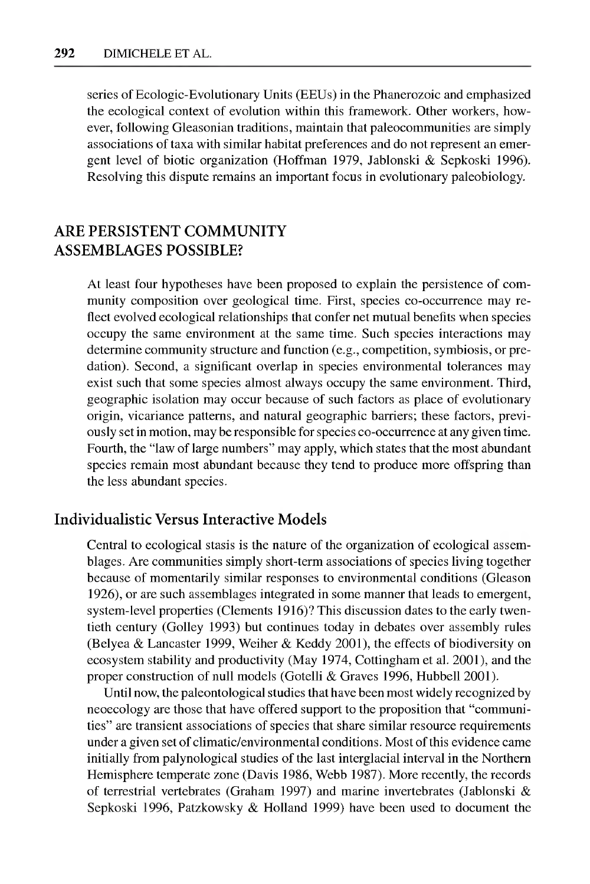series of Ecologic-Evolutionary Units (EEUs) in the Phanerozoic and emphasized the ecological context of evolution within this framework. Other workers, however, following Gleasonian traditions, maintain that paleocommunities are simply associations of taxa with similar habitat preferences and do not represent an emergent level of biotic organization (Hoffman 1979, Jablonski & Sepkoski 1996). Resolving this dispute remains an important focus in evolutionary paleobiology.

## ARE PERSISTENT COMMUNITY ASSEMBLAGES POSSIBLE?

At least four hypotheses have been proposed to explain the persistence of community composition over geological time. First, species co-occurrence may reflect evolved ecological relationships that confer net mutual benefits when species occupy the same environment at the same time. Such species interactions may determine community structure and function (e.g., competition, symbiosis, or predation). Second, a significant overlap in species environmental tolerances may exist such that some species almost always occupy the same environment. Third, geographic isolation may occur because of such factors as place of evolutionary origin, vicariance patterns, and natural geographic barriers; these factors, previously setin motion, may be responsible for species co-occurrence at any given time. Fourth, the "law of large numbers" may apply, which states that the most abundant species remain most abundant because they tend to produce more offspring than the less abundant species.

#### Individualistic Versus Interactive Models

Central to ecological stasis is the nature of the organization of ecological assemblages. Are communities simply short-term associations of species living together because of momentarily similar responses to environmental conditions (Gleason 1926), or are such assemblages integrated in some manner that leads to emergent, system-level properties (Clements 1916)? This discussion dates to the early twentieth century (Golley 1993) but continues today in debates over assembly rules (Belyea & Lancaster 1999, Weiher & Keddy 2001), the effects of biodiversity on ecosystem stability and productivity (May 1974, Cottingham et al. 2001), and the proper construction of null models (Gotelli & Graves 1996, Hubbell 2001).

Until now, the paleontological studies that have been most widely recognized by neoecology are those that have offered support to the proposition that "communities" are transient associations of species that share similar resource requirements under a given set of climatic/environmental conditions. Most ofthis evidence came initially from palynological studies of the last interglacial interval in the Northern Hemisphere temperate zone (Davis 1986, Webb 1987). More recently, the records of terrestrial vertebrates (Graham 1997) and marine invertebrates (Jablonski & Sepkoski 1996, Patzkowsky & Holland 1999) have been used to document the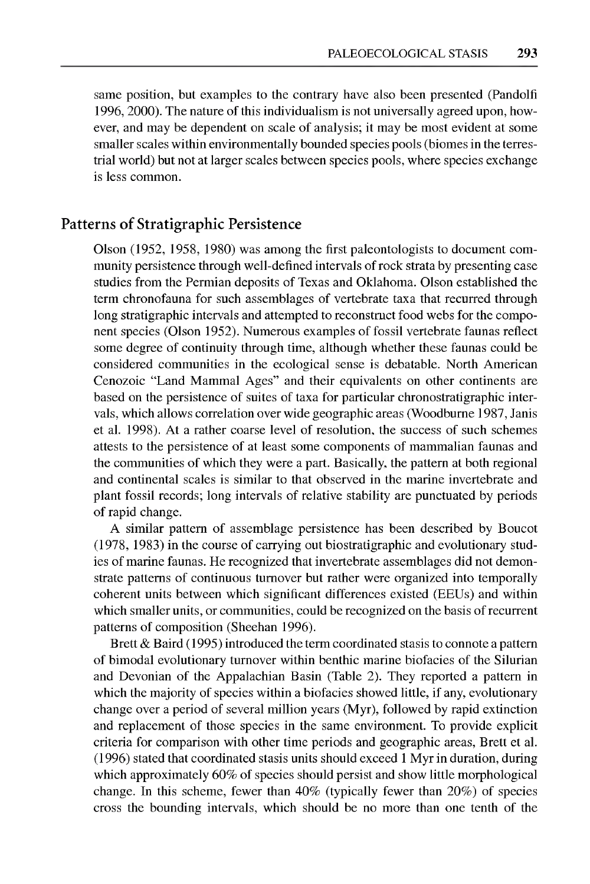same position, but examples to the contrary have also been presented (Pandolfi 1996, 2000). The nature of this individualism is not universally agreed upon, however, and may be dependent on scale of analysis; it may be most evident at some smaller scales within environmentally bounded species pools (biomes in the terrestrial world) but not at larger scales between species pools, where species exchange is less common.

#### Patterns of Stratigraphie Persistence

Olson (1952, 1958, 1980) was among the first paleontologists to document community persistence through well-defined intervals of rock strata by presenting case studies from the Permian deposits of Texas and Oklahoma. Olson established the term chronofauna for such assemblages of vertebrate taxa that recurred through long stratigraphie intervals and attempted to reconstruct food webs for the component species (Olson 1952). Numerous examples of fossil vertebrate faunas reñect some degree of continuity through time, although whether these faunas could be considered communities in the ecological sense is debatable. North American Cenozoic "Land Mammal Ages" and their equivalents on other continents are based on the persistence of suites of taxa for particular chronostratigraphic intervals, which allows correlation over wide geographic areas (Woodburne 1987, Janis et al. 1998). At a rather coarse level of resolution, the success of such schemes attests to the persistence of at least some components of mammalian faunas and the communities of which they were a part. Basically, the pattern at both regional and continental scales is similar to that observed in the marine invertebrate and plant fossil records; long intervals of relative stability are punctuated by periods of rapid change.

A similar pattern of assemblage persistence has been described by Boucot (1978, 1983) in the course of carrying out biostratigraphic and evolutionary studies of marine faunas. He recognized that invertebrate assemblages did not demonstrate patterns of continuous turnover but rather were organized into temporally coherent units between which significant differences existed (EEUs) and within which smaller units, or communities, could be recognized on the basis ofrecurrent patterns of composition (Sheehan 1996).

Brett & Baird ( 1995) introduced the term coordinated stasis to connote a pattern of bimodal evolutionary turnover within benthic marine biofacies of the Silurian and Devonian of the Appalachian Basin (Table 2). They reported a pattern in which the majority of species within a biofacies showed little, if any, evolutionary change over a period of several million years (Myr), followed by rapid extinction and replacement of those species in the same environment. To provide explicit criteria for comparison with other time periods and geographic areas, Brett et al. (1996) stated that coordinated stasis units should exceed <sup>1</sup> Myr in duration, during which approximately  $60\%$  of species should persist and show little morphological change. In this scheme, fewer than  $40\%$  (typically fewer than  $20\%$ ) of species cross the bounding intervals, which should be no more than one tenth of the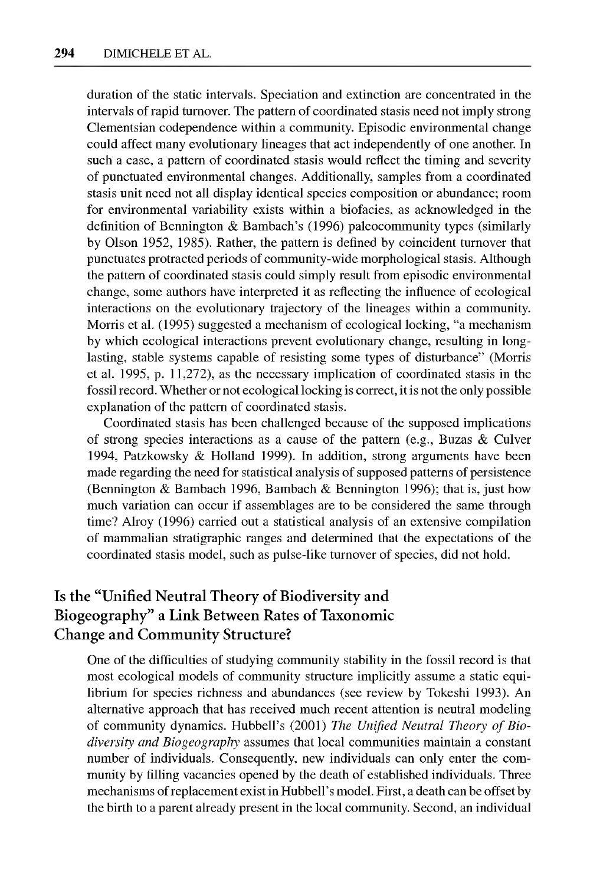duration of the static intervals. Speciation and extinction are concentrated in the intervals of rapid turnover. The pattern of coordinated stasis need not imply strong Clementsian codependence within a community. Episodic environmental change could affect many evolutionary lineages that act independently of one another. In such a case, a pattern of coordinated stasis would reflect the timing and severity of punctuated environmental changes. Additionally, samples from a coordinated stasis unit need not all display identical species composition or abundance; room for environmental variability exists within a biofacies, as acknowledged in the definition of Bennington & Bambach's (1996) paleocommunity types (similarly by Olson 1952, 1985). Rather, the pattern is defined by coincident turnover that punctuates protracted periods of community-wide morphological stasis. Although the pattern of coordinated stasis could simply result from episodic environmental change, some authors have interpreted it as reflecting the influence of ecological interactions on the evolutionary trajectory of the lineages within a community. Morris et al. (1995) suggested a mechanism of ecological locking, "a mechanism by which ecological interactions prevent evolutionary change, resulting in longlasting, stable systems capable of resisting some types of disturbance" (Morris et al. 1995, p. 11,272), as the necessary implication of coordinated stasis in the fossil record. Whether or not ecological locking is correct, it is not the only possible explanation of the pattern of coordinated stasis.

Coordinated stasis has been challenged because of the supposed implications of strong species interactions as a cause of the pattern (e.g.. Buzas & Culver 1994, Patzkowsky & Holland 1999). In addition, strong arguments have been made regarding the need for statistical analysis of supposed patterns of persistence (Bennington & Bambach 1996, Bambach & Bennington 1996); that is, just how much variation can occur if assemblages are to be considered the same through time? Alroy (1996) carried out a statistical analysis of an extensive compilation of mammalian stratigraphie ranges and determined that the expectations of the coordinated stasis model, such as pulse-like turnover of species, did not hold.

## Is the "Unified Neutral Theory of Biodiversity and Biogeography" a Link Between Rates of Taxonomic Change and Community Structure?

One of the difficulties of studying community stability in the fossil record is that most ecological models of community structure implicitly assume a static equilibrium for species richness and abundances (see review by Tokeshi 1993). An alternative approach that has received much recent attention is neutral modeling of community dynamics. Hubbell's (2001) *The Unified Neutral Theory of Biodiversity and Biogeography* assumes that local communities maintain a constant number of individuals. Consequently, new individuals can only enter the community by filling vacancies opened by the death of established individuals. Three mechanisms ofreplacement existin Hubbell's model. First, a death can be offset by the birth to a parent already present in the local community. Second, an individual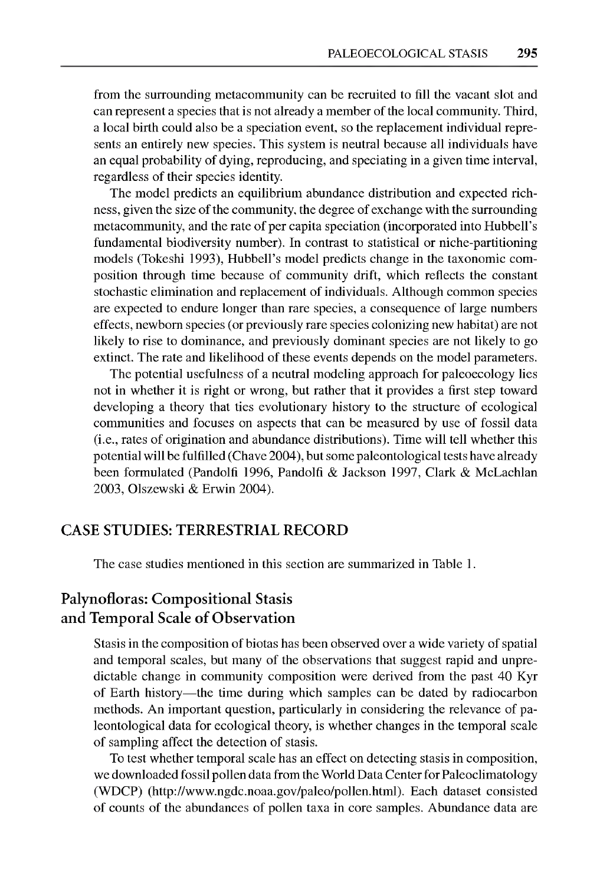from the surrounding metacommunity can be recruited to fill the vacant slot and can represent a species that is not already a member of the local community. Third, a local birth could also be a speciation event, so the replacement individual represents an entirely new species. This system is neutral because all individuals have an equal probability of dying, reproducing, and speciating in a given time interval, regardless of their species identity.

The model predicts an equilibrium abundance distribution and expected richness, given the size of the community, the degree of exchange with the surrounding metacommunity, and the rate of per capita speciation (incorporated into Hubbell's fundamental biodiversity number). In contrast to statistical or niche-partitioning models (Tokeshi 1993), Hubbell's model predicts change in the taxonomic composition through time because of community drift, which reflects the constant stochastic elimination and replacement of individuals. Although common species are expected to endure longer than rare species, a consequence of large numbers effects, newborn species (or previously rare species colonizing new habitat) are not likely to rise to dominance, and previously dominant species are not likely to go extinct. The rate and likelihood of these events depends on the model parameters.

The potential usefulness of a neutral modeling approach for paleoecology lies not in whether it is right or wrong, but rather that it provides a first step toward developing a theory that ties evolutionary history to the structure of ecological communities and focuses on aspects that can be measured by use of fossil data (i.e., rates of origination and abundance distributions). Time will tell whether this potential will be fulfilled (Chave 2004), but some paleontological tests have already been formulated (Pandolfi 1996, Pandolfi & Jackson 1997, Clark & McLachlan 2003, Olszewski & Erwin 2004).

## CASE STUDIES: TERRESTRIAL RECORD

The case studies mentioned in this section are summarized in Table 1.

## Palynofloras: Compositional Stasis and Temporal Scale of Observation

Stasis in the composition of biotas has been observed over a wide variety of spatial and temporal scales, but many of the observations that suggest rapid and unpredictable change in community composition were derived from the past 40 Kyr of Earth history—the time during which samples can be dated by radiocarbon methods. An important question, particularly in considering the relevance of paleontological data for ecological theory, is whether changes in the temporal scale of sampling affect the detection of stasis.

To test whether temporal scale has an effect on detecting stasis in composition, we downloaded fossil pollen data from the World Data Center for Paleoclimatology (WDCP) (http://www.ngdc.noaa.gov/paleo/pollen.html). Each dataset consisted of counts of the abundances of pollen taxa in core samples. Abundance data are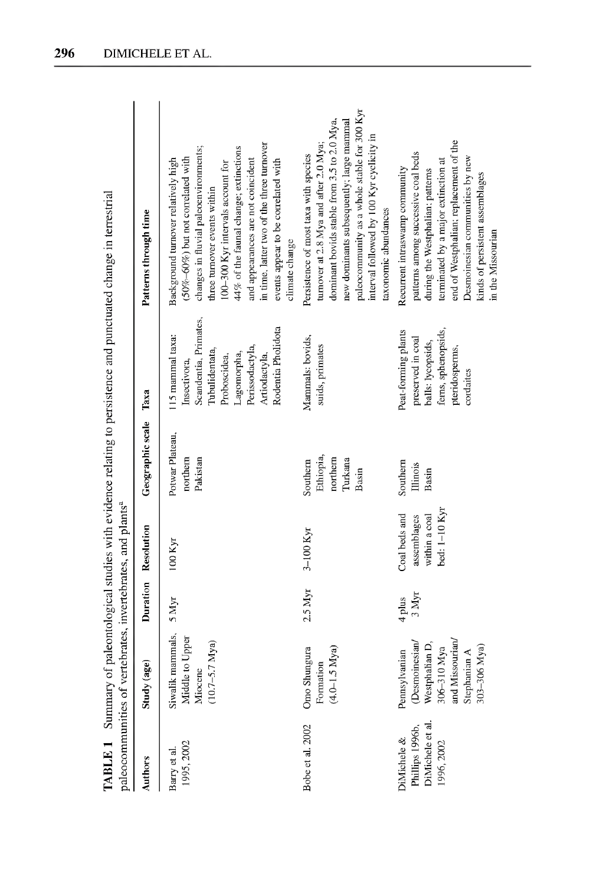|                                                                  | paleocommunities of vertebrates, invertebrates, and plants <sup>a</sup>                                             |                 |                                                                  |                                                       |                                                                                                                                                                      | TABLE 1 Summary of paleontological studies with evidence relating to persistence and punctuated change in terrestrial                                                                                                                                                                                                                                                             |
|------------------------------------------------------------------|---------------------------------------------------------------------------------------------------------------------|-----------------|------------------------------------------------------------------|-------------------------------------------------------|----------------------------------------------------------------------------------------------------------------------------------------------------------------------|-----------------------------------------------------------------------------------------------------------------------------------------------------------------------------------------------------------------------------------------------------------------------------------------------------------------------------------------------------------------------------------|
| Authors                                                          | Study (age)                                                                                                         |                 | Duration Resolution                                              | Geographic scale Taxa                                 |                                                                                                                                                                      | Patterns through time                                                                                                                                                                                                                                                                                                                                                             |
| 1995, 2002<br>Barry et al.                                       | Siwalik mammals,<br>Middle to Upper<br>$(10.7 - 5.7$ Mya)<br>Miocene                                                | 5 Myr           | 100 Kyr                                                          | Potwar Plateau,<br>northern<br>Pakistan               | Scandentia, Primates,<br>Rodentia Pholidota<br>115 mammal taxa:<br>Perissodactyla,<br>Tubulidentata,<br>Lagomorpha,<br>Artiodactyla,<br>Proboscidea,<br>Insectivora, | in time, latter two of the three turnover<br>changes in fluvial paleoenvironments;<br>44% of the faunal change; extinctions<br>$(50\% - 60\%)$ but not correlated with<br>and appearances are not coincident<br>events appear to be correlated with<br>Background turnover relatively high<br>100-300 Kyr intervals account for<br>three turnover events within<br>climate change |
| Bobe et al. 2002                                                 | $(4.0 - 1.5 \text{ Mya})$<br>Omo Shungura<br>Formation                                                              | 2.5 Myr         | 3-100 Kyr                                                        | Ethiopia,<br>northern<br>Turkana<br>Southern<br>Basin | Mammals: bovids,<br>suids, primates                                                                                                                                  | paleocommunity as a whole stable for 300 Kyr<br>new dominants subsequently; large mammal<br>dominant bovids stable from 3.5 to 2.0 Mya,<br>interval followed by 100 Kyr cyclicity in<br>turnover at 2.8 Mya and after 2.0 Mya;<br>Persistence of most taxa with species<br>taxonomic abundances                                                                                   |
| DiMichele et al.<br>Phillips 1996b,<br>DiMichele &<br>1996, 2002 | and Missourian/<br>(Desmoinesian/<br>Westphalian D,<br>303-306 Муа)<br>306-310 Муа<br>Stephanian A<br>Pennsylvanian | 3 Myr<br>4 plus | bed: $1-10$ Kyr<br>Coal beds and<br>within a coal<br>assemblages | Southern<br><b>Illinois</b><br>Basin                  | ferns, sphenopsids,<br>Peat-forming plants<br>preserved in coal<br>balls: lycopsids,<br>pteridosperms,<br>cordaites                                                  | end of Westphalian; replacement of the<br>patterns among successive coal beds<br>Desmoinesian communities by new<br>terminated by a major extinction at<br>Recurrent intraswamp community<br>during the Westphalian; patterns<br>kinds of persistent assemblages<br>in the Missourian                                                                                             |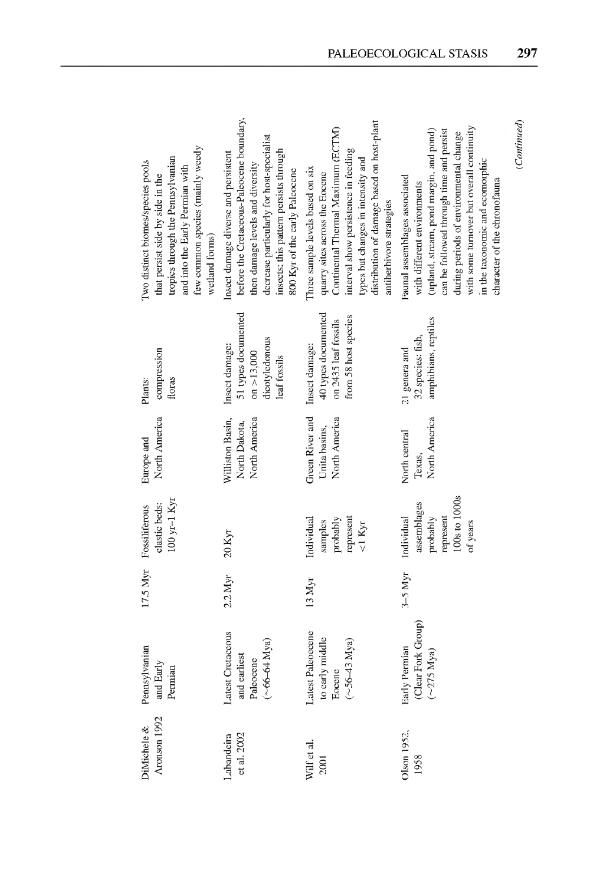| Aronson 1992<br>DiMichele & | Pennsylvanian<br>and Early<br>Permian                                                  |         | 100 yr-1 Kyr<br>clastic beds:<br>17.5 Myr Fossiliferous                                 | North America<br>Europe and                        | compression<br>floras<br>Plants:                                                                 | few common species (mainly weedy<br>tropics through the Pennsylvanian<br>Two distinct biomes/species pools<br>and into the Early Permian with<br>that persist side by side in the<br>wetland forms)                                                                                                           |
|-----------------------------|----------------------------------------------------------------------------------------|---------|-----------------------------------------------------------------------------------------|----------------------------------------------------|--------------------------------------------------------------------------------------------------|---------------------------------------------------------------------------------------------------------------------------------------------------------------------------------------------------------------------------------------------------------------------------------------------------------------|
| et al. 2002<br>Labandeira   | Latest Cretaceous<br>$(\sim]66 - 64$ Mya)<br>and earliest<br>Paleocene                 | 2.2 Муг | 20 Куг                                                                                  | Williston Basin,<br>North America<br>North Dakota, | 51 types documented<br>dicotyledonous<br>Insect damage:<br>$\text{on } > 13,000$<br>leaf fossils | before the Cretaceous-Paleocene boundary,<br>decrease particularly for host-specialist<br>insects: this pattern persists through<br>Insect damage diverse and persistent<br>then damage levels and diversity<br>800 Kyr of the early Paleocene                                                                |
| Wilf et al.<br>2001         | Latest Paleoecene<br>to early middle<br>$(\sim\!\!56\!\!-\!\!43\,{\rm Mya})$<br>Eocene | 13 Myr  | represent<br>Individual<br>probably<br>samples<br>$1$ Kyr                               | Green River and<br>North America<br>Unita basins,  | 40 types documented<br>from 58 host species<br>on 2435 leaf fossils<br>Insect damage:            | distribution of damage based on host-plant<br>Continental Thermal Maximum (ECTM)<br>interval show persistence in feeding<br>types but changes in intensity and<br>Three sample levels based on six<br>quarry sites across the Eocene<br>antiherbivore strategies                                              |
| Olson 1952,<br>1958         | (Clear Fork Group)<br>Early Permian<br>$(\sim$ 275 Mya)                                |         | 100s to 1000s<br>assemblages<br>represent<br>3-5 Myr Individual<br>probably<br>of years | North America<br>North central<br>Texas,           | amphibians, reptiles<br>32 species: fish,<br>21 genera and                                       | with some turnover but overall continuity<br>can be followed through time and persist<br>(upland, stream, pond margin, and pond)<br>during periods of environmental change<br>in the taxonomic and ecomorphic<br>Faunal assemblages associated<br>character of the chronofauna<br>with different environments |

 $(Continued) % \begin{minipage}[b]{0.5\linewidth} \centering \centerline{\includegraphics[width=0.5\linewidth]{images/STM100020.jpg} \centerline{\includegraphics[width=0.5\linewidth]{images/STM100020.jpg} \centerline{\includegraphics[width=0.5\linewidth]{images/STM100020.jpg} \centerline{\includegraphics[width=0.5\linewidth]{images/STM100020.jpg} \centerline{\includegraphics[width=0.5\linewidth]{images/STM100020.jpg} \centerline{\includegraphics[width=0.5\linewidth]{images/STM100020.jpg} \centerline{\includegraphics[width=0.5\linewidth]{images/STM100020.jpg} \centerline{\includegraphics[width$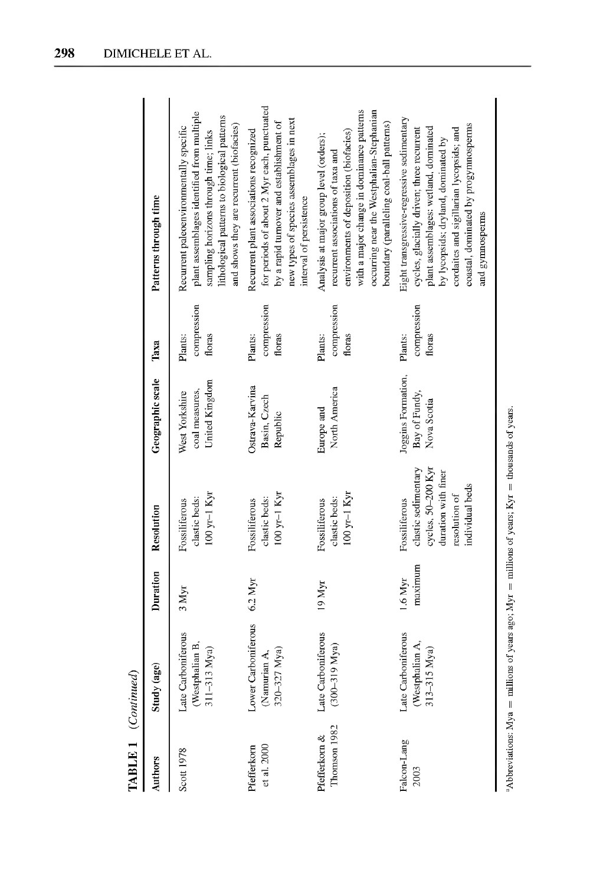| <b>Authors</b>                | Study (age)                                                                                                 | Duration           | Resolution                                                                                                            | Geographic scale                                   | Таха                             | Patterns through time                                                                                                                                                                                                                                                          |
|-------------------------------|-------------------------------------------------------------------------------------------------------------|--------------------|-----------------------------------------------------------------------------------------------------------------------|----------------------------------------------------|----------------------------------|--------------------------------------------------------------------------------------------------------------------------------------------------------------------------------------------------------------------------------------------------------------------------------|
| Scott 1978                    | Late Carboniferous<br>(Westphalian B,<br>311-313 Mya)                                                       | 3 Myr              | 100 yr-1 Kyr<br>clastic beds:<br>Fossiliferous                                                                        | United Kingdom<br>coal measures,<br>West Yorkshire | compression<br>floras<br>Plants: | plant assemblages identified from multiple<br>lithological patterns to biological patterns<br>and shows they are recurrent (biofacies)<br>Recurrent paleoenvironmentally specific<br>sampling horizons through time; links                                                     |
| Pfefferkorn<br>et al. 2000    | Lower Carboniferous 6.2 Myr<br>320-327 Mya)<br>(Namurian A,                                                 |                    | 100 yr-1 Kyr<br>clastic beds:<br>Fossiliferous                                                                        | Ostrava-Karvina<br>Basin, Czech<br>Republic        | compression<br>Plants:<br>floras | for periods of about 2 Myr each, punctuated<br>new types of species assemblages in next<br>by a rapid turnover and establishment of<br>Recurrent plant associations recognized<br>interval of persistence                                                                      |
| Thomson 1982<br>Pfefferkorn & | Late Carboniferous<br>$(300 - 319)$ Mya)                                                                    | 19 Myr             | 100 yr-1 Kyr<br>clastic beds:<br>Fossiliferous                                                                        | North America<br>Europe and                        | compression<br>Plants:<br>floras | with a major change in dominance patterns<br>occurring near the Westphalian-Stephanian<br>boundary (paralleling coal-ball patterns)<br>environments of deposition (biofacies)<br>Analysis at major group level (orders);<br>recurrent associations of taxa and                 |
| Falcon-Lang<br>2003           | Late Carboniferous<br>(Westphalian A,<br>313-315 Mya)                                                       | maximum<br>1.6 Myr | cycles, 50-200 Kyr<br>clastic sedimentary<br>duration with finer<br>individual beds<br>resolution of<br>Fossiliferous | Joggins Formation,<br>Bay of Fundy,<br>Nova Scotia | compression<br>Plants:<br>floras | Eight transgressive-regressive sedimentary<br>coastal, dominated by progymnosperms<br>plant assemblages: wetland, dominated<br>cordaites and sigillarian lycopsids; and<br>cycles, glacially driven; three recurrent<br>by lycopsids; dryland, dominated by<br>and gymnosperms |
|                               | <sup>2</sup> Abbreviations: Mya = millions of years ago; Myr = millions of years; Kyr = thousands of years. |                    |                                                                                                                       |                                                    |                                  |                                                                                                                                                                                                                                                                                |

TABLE 1 (Continued)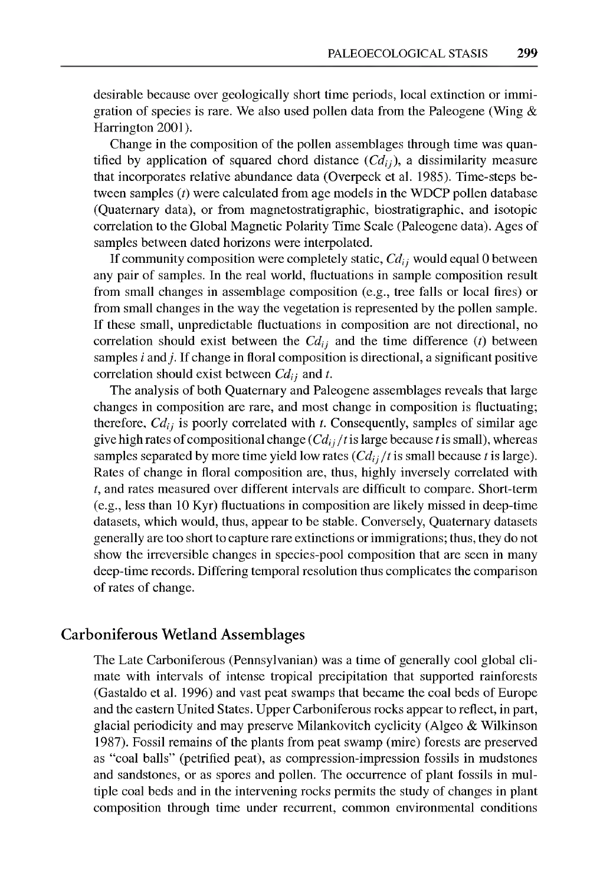desirable because over geologically short time periods, local extinction or immigration of species is rare. We also used pollen data from the Paleogene (Wing  $\&$ Harrington 2001).

Change in the composition of the pollen assemblages through time was quantified by application of squared chord distance  $(Cd_{ii})$ , a dissimilarity measure that incorporates relative abundance data (Overpeck et al. 1985). Time-steps between samples (f) were calculated from age models in the WDCP pollen database (Quaternary data), or from magnetostratigraphic, biostratigraphic, and isotopic correlation to the Global Magnetic Polarity Time Scale (Paleogene data). Ages of samples between dated horizons were interpolated.

If community composition were completely static, *Cd¡j* would equal 0 between any pair of samples. In the real world, fluctuations in sample composition result from small changes in assemblage composition (e.g., tree falls or local fires) or from small changes in the way the vegetation is represented by the pollen sample. If these small, unpredictable fluctuations in composition are not directional, no correlation should exist between the  $Cd_{ij}$  and the time difference (t) between samples *i* and *j*. If change in floral composition is directional, a significant positive correlation should exist between *Cdij* and *t.*

The analysis of both Quaternary and Paleogene assemblages reveals that large changes in composition are rare, and most change in composition is fluctuating; therefore,  $Cd_{ij}$  is poorly correlated with  $t$ . Consequently, samples of similar age give high rates of compositional change  $\left(\frac{Cd_{ij}}{t}\right)$  is large because *t* is small), whereas samples separated by more time yield low rates  $(Cd_{ij}/t)$  is small because t is large). Rates of change in floral composition are, thus, highly inversely correlated with f, and rates measured over different intervals are difficult to compare. Short-term (e.g., less than 10 Kyr) fluctuations in composition are likely missed in deep-time datasets, which would, thus, appear to be stable. Conversely, Quaternary datasets generally are too shortto capture rare extinctions or immigrations; thus, they do not show the irreversible changes in species-pool composition that are seen in many deep-time records. Differing temporal resolution thus complicates the comparison of rates of change.

#### Carboniferous Wetland Assemblages

The Late Carboniferous (Pennsylvanian) was a time of generally cool global climate with intervals of intense tropical precipitation that supported rainforests (Gastaldo et al. 1996) and vast peat swamps that became the coal beds of Europe and the eastern United States. Upper Carboniferous rocks appear to reflect, in part, glacial periodicity and may preserve Milankovitch cyclicity (Algeo & Wilkinson 1987). Fossil remains of the plants from peat swamp (mire) forests are preserved as "coal balls" (petrified peat), as compression-impression fossils in mudstones and sandstones, or as spores and pollen. The occurrence of plant fossils in multiple coal beds and in the intervening rocks permits the study of changes in plant composition through time under recurrent, common environmental conditions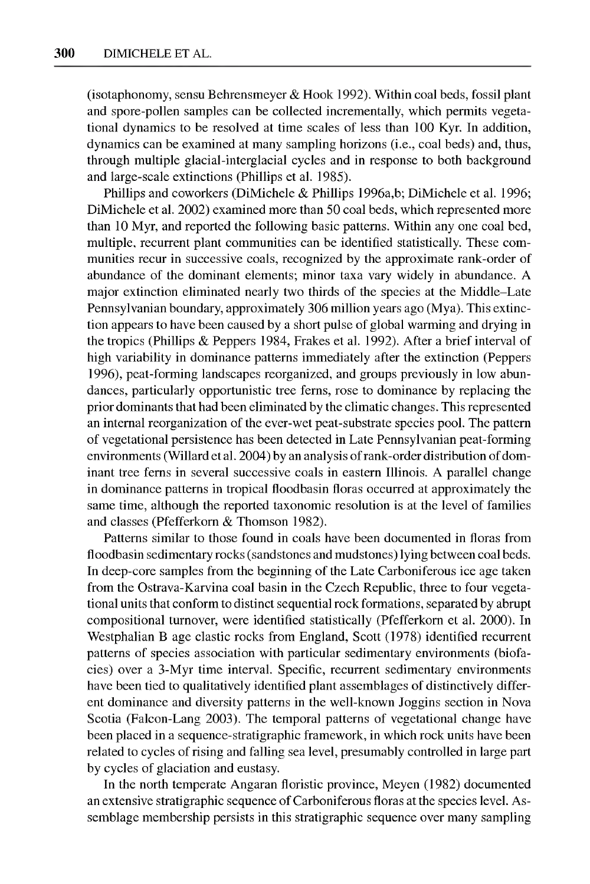(isotaphonomy, sensu Behrensmeyer & Hook 1992). Within coal beds, fossil plant and spore-pollen samples can be collected incrementally, which permits vegetational dynamics to be resolved at time scales of less than 100 Kyr. In addition, dynamics can be examined at many sampling horizons (i.e., coal beds) and, thus, through multiple glacial-interglacial cycles and in response to both background and large-scale extinctions (Phillips et al. 1985).

Phillips and coworkers (DiMichele & Phillips 1996a,b; DiMichele et al. 1996; DiMichele et al. 2002) examined more than 50 coal beds, which represented more than 10 Myr, and reported the following basic patterns. Within any one coal bed, multiple, recurrent plant communities can be identified statistically. These communities recur in successive coals, recognized by the approximate rank-order of abundance of the dominant elements; minor taxa vary widely in abundance. A major extinction eliminated nearly two thirds of the species at the Middle-Late Pennsylvanian boundary, approximately 306 million years ago (Mya). This extinction appears to have been caused by a short pulse of global warming and drying in the tropics (Phillips & Peppers 1984, Frakes et al. 1992). After a brief interval of high variability in dominance patterns immediately after the extinction (Peppers 1996), peat-forming landscapes reorganized, and groups previously in low abundances, particularly opportunistic tree ferns, rose to dominance by replacing the prior dominants that had been eliminated by the climatic changes. This represented an internal reorganization of the ever-wet peat-substrate species pool. The pattern of vegetational persistence has been detected in Late Pennsylvanian peat-forming environments (Willard et al. 2004) by an analysis of rank-order distribution of dominant tree ferns in several successive coals in eastern Illinois. A parallel change in dominance patterns in tropical floodbasin floras occurred at approximately the same time, although the reported taxonomic resolution is at the level of families and classes (Pfefferkorn & Thomson 1982).

Patterns similar to those found in coals have been documented in floras from floodbasin sedimentary rocks (sandstones and mudstones) lying between coal beds. In deep-core samples from the beginning of the Late Carboniferous ice age taken from the Ostrava-Karvina coal basin in the Czech Republic, three to four vegetational units that conform to distinct sequential rock formations, separated by abrupt compositional turnover, were identified statistically (Pfefferkorn et al. 2000). In Westphalian B age clastic rocks from England, Scott (1978) identified recurrent patterns of species association with particular sedimentary environments (biofacies) over a 3-Myr time interval. Specific, recurrent sedimentary environments have been tied to qualitatively identified plant assemblages of distinctively different dominance and diversity patterns in the well-known Joggins section in Nova Scotia (Falcon-Lang 2003). The temporal patterns of vegetational change have been placed in a sequence-stratigraphic framework, in which rock units have been related to cycles of rising and falling sea level, presumably controlled in large part by cycles of glaciation and eustasy.

In the north temperate Angaran floristic province, Meyen (1982) documented an extensive stratigraphie sequence of Carboniferous floras atthe species level. Assemblage membership persists in this stratigraphie sequence over many sampling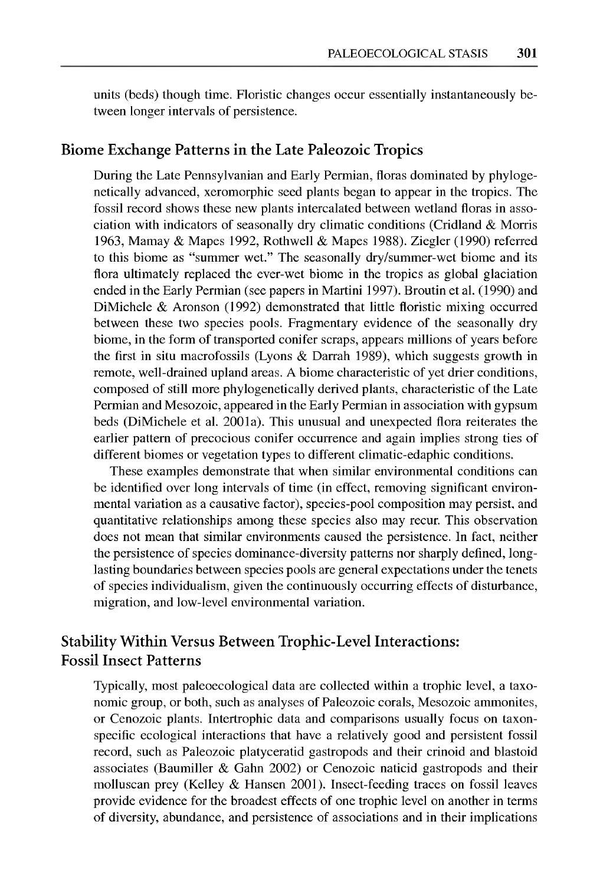units (beds) though time. Floristic changes occur essentially instantaneously between longer intervals of persistence.

#### Biome Exchange Patterns in the Late Paleozoic Tropics

During the Late Pennsylvanian and Early Permian, floras dominated by phylogenetically advanced, xeromorphic seed plants began to appear in the tropics. The fossil record shows these new plants intercalated between wetland floras in association with indicators of seasonally dry climatic conditions (Cridland & Morris 1963, Mamay & Mapes 1992, Rothwell & Mapes 1988). Ziegler (1990) referred to this biome as "summer wet." The seasonally dry/summer-wet biome and its flora ultimately replaced the ever-wet biome in the tropics as global glaciation ended in the Early Permian (see papers in Martini 1997). Broutin et al. (1990) and DiMichele & Aronson (1992) demonstrated that little floristic mixing occurred between these two species pools. Fragmentary evidence of the seasonally dry biome, in the form of transported conifer scraps, appears millions of years before the first in situ macrofossils (Lyons & Darrah 1989), which suggests growth in remote, well-drained upland areas. A biome characteristic of yet drier conditions, composed of still more phylogenetically derived plants, characteristic of the Late Permian and Mesozoic, appeared in the Early Permian in association with gypsum beds (DiMichele et al. 2001a). This unusual and unexpected flora reiterates the earlier pattern of precocious conifer occurrence and again implies strong ties of different biomes or vegetation types to different climatic-edaphic conditions.

These examples demonstrate that when similar environmental conditions can be identified over long intervals of time (in effect, removing significant environmental variation as a causative factor), species-pool composition may persist, and quantitative relationships among these species also may recur. This observation does not mean that similar environments caused the persistence. In fact, neither the persistence of species dominance-diversity patterns nor sharply defined, longlasting boundaries between species pools are general expectations under the tenets of species individualism, given the continuously occurring effects of disturbance, migration, and low-level environmental variation.

## Stability Within Versus Between Trophic-Level Interactions: Fossil Insect Patterns

Typically, most paleoecological data are collected within a trophic level, a taxonomic group, or both, such as analyses of Paleozoic corals, Mesozoic ammonites, or Cenozoic plants. Intertrophic data and comparisons usually focus on taxonspecific ecological interactions that have a relatively good and persistent fossil record, such as Paleozoic platyceratid gastropods and their crinoid and blastoid associates (Baumiller & Gahn 2002) or Cenozoic naticid gastropods and their molluscan prey (Kelley & Hansen 2001). Insect-feeding traces on fossil leaves provide evidence for the broadest effects of one trophic level on another in terms of diversity, abundance, and persistence of associations and in their implications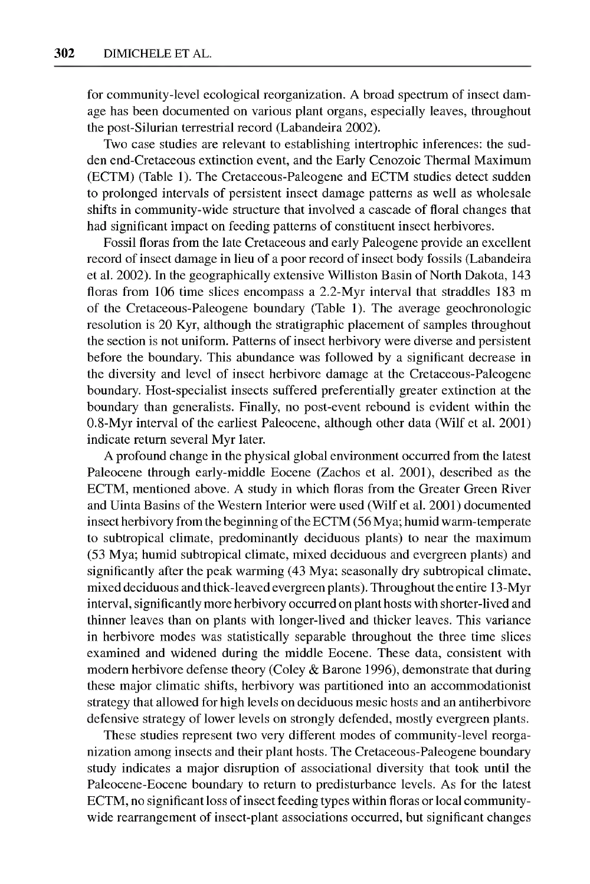for community-level ecological reorganization. A broad spectrum of insect damage has been documented on various plant organs, especially leaves, throughout the post-Silurian terrestrial record (Labandeira 2002).

Two case studies are relevant to establishing intertrophic inferences: the sudden end-Cretaceous extinction event, and the Early Cenozoic Thermal Maximum (ECTM) (Table 1). The Cretaceous-Paleogene and ECTM studies detect sudden to prolonged intervals of persistent insect damage patterns as well as wholesale shifts in community-wide structure that involved a cascade of floral changes that had significant impact on feeding patterns of constituent insect herbivores.

Fossil floras from the late Cretaceous and early Paleogene provide an excellent record of insect damage in lieu of a poor record of insect body fossils (Labandeira et al. 2002). In the geographically extensive Williston Basin of North Dakota, 143 floras from 106 time slices encompass a 2.2-Myr interval that straddles 183 m of the Cretaceous-Paleogene boundary (Table 1). The average geochronologic resolution is 20 Kyr, although the stratigraphie placement of samples throughout the section is not uniform. Patterns of insect herbivory were diverse and persistent before the boundary. This abundance was followed by a significant decrease in the diversity and level of insect herbivore damage at the Cretaceous-Paleogene boundary. Host-specialist insects suffered preferentially greater extinction at the boundary than generalists. Finally, no post-event rebound is evident within the 0.8-Myr interval of the earliest Paleocene, although other data (Wilf et al. 2001) indicate return several Myr later.

A profound change in the physical global environment occurred from the latest Paleocene through early-middle Eocene (Zachos et al. 2001), described as the ECTM, mentioned above. A study in which floras from the Greater Green River and Uinta Basins of the Western Interior were used (Wilf et al. 2001) documented insect herbivory from the beginning of the ECTM (56 Mya; humid warm-temperate to subtropical climate, predominantly deciduous plants) to near the maximum (53 Mya; humid subtropical climate, mixed deciduous and evergreen plants) and significantly after the peak warming (43 Mya; seasonally dry subtropical climate, mixed deciduous and thick-leaved evergreen plants). Throughout the entire 13-Myr interval, significantly more herbivory occurred on plant hosts with shorter-lived and thinner leaves than on plants with longer-lived and thicker leaves. This variance in herbivore modes was statistically separable throughout the three time slices examined and widened during the middle Eocene. These data, consistent with modern herbivore defense theory (Coley  $&$  Barone 1996), demonstrate that during these major climatic shifts, herbivory was partitioned into an accommodationist strategy that allowed for high levels on deciduous mesic hosts and an antiherbivore defensive strategy of lower levels on strongly defended, mostly evergreen plants.

These studies represent two very different modes of community-level reorganization among insects and their plant hosts. The Cretaceous-Paleogene boundary study indicates a major disruption of associational diversity that took until the Paleocene-Eocene boundary to return to predisturbance levels. As for the latest ECTM, no significant loss of insect feeding types within floras or local communitywide rearrangement of insect-plant associations occurred, but significant changes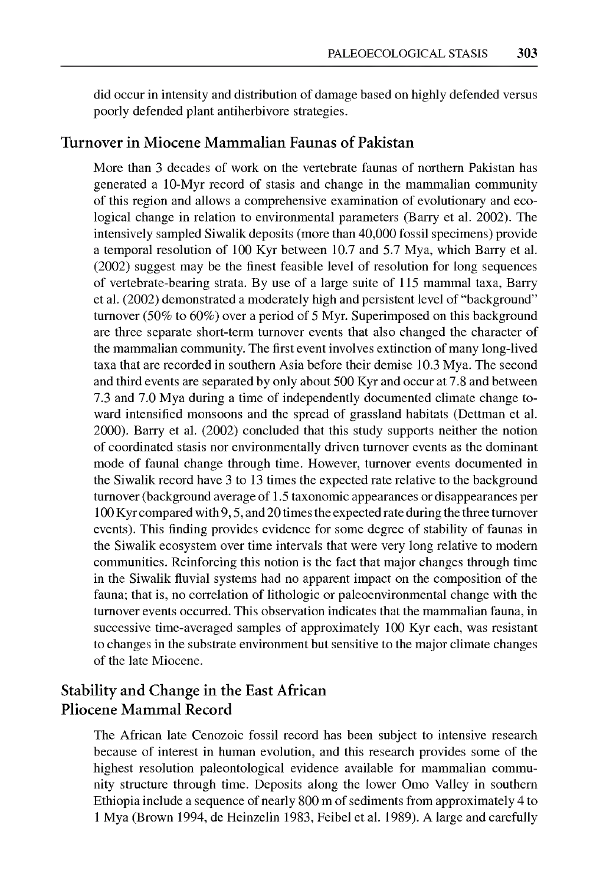did occur in intensity and distribution of damage based on highly defended versus poorly defended plant antiherbivore strategies.

#### Turnover in Miocene Mammalian Faunas of Pakistan

More than 3 decades of work on the vertebrate faunas of northern Pakistan has generated a 10-Myr record of stasis and change in the mammalian community of this region and allows a comprehensive examination of evolutionary and ecological change in relation to environmental parameters (Barry et al. 2002). The intensively sampled Siwalik deposits (more than 40,000 fossil specimens) provide a temporal resolution of 100 Kyr between 10.7 and 5.7 Mya, which Barry et al. (2002) suggest may be the finest feasible level of resolution for long sequences of vertebrate-bearing strata. By use of a large suite of 115 mammal taxa, Barry et al. (2002) demonstrated a moderately high and persistent level of "background" turnover (50% to 60%) over a period of 5 Myr. Superimposed on this background are three separate short-term turnover events that also changed the character of the mammalian community. The first event involves extinction of many long-lived taxa that are recorded in southern Asia before their demise 10.3 Mya. The second and third events are separated by only about 500 Kyr and occur at 7.8 and between 7.3 and 7.0 Mya during a time of independently documented climate change toward intensified monsoons and the spread of grassland habitats (Dettman et al. 2000). Barry et al. (2002) concluded that this study supports neither the notion of coordinated stasis nor environmentally driven turnover events as the dominant mode of faunal change through time. However, turnover events documented in the Siwalik record have 3 to 13 times the expected rate relative to the background turnover (background average of 1.5 taxonomic appearances or disappearances per 100 Kyr compared with 9,5, and 20 times the expected rate during the three turnover events). This finding provides evidence for some degree of stability of faunas in the Siwalik ecosystem over time intervals that were very long relative to modern communities. Reinforcing this notion is the fact that major changes through time in the Siwalik fluvial systems had no apparent impact on the composition of the fauna; that is, no correlation of lithologie or paleoenvironmental change with the turnover events occurred. This observation indicates that the mammalian fauna, in successive time-averaged samples of approximately 100 Kyr each, was resistant to changes in the substrate environment but sensitive to the major climate changes of the late Miocene.

#### Stability and Change in the East African Pliocene Mammal Record

The African late Cenozoic fossil record has been subject to intensive research because of interest in human evolution, and this research provides some of the highest resolution paleontological evidence available for mammalian community structure through time. Deposits along the lower Omo Valley in southern Ethiopia include a sequence of nearly 800 m of sediments from approximately 4 to <sup>1</sup> Mya (Brown 1994, de Heinzelin 1983, Feibel et al. 1989). A large and carefully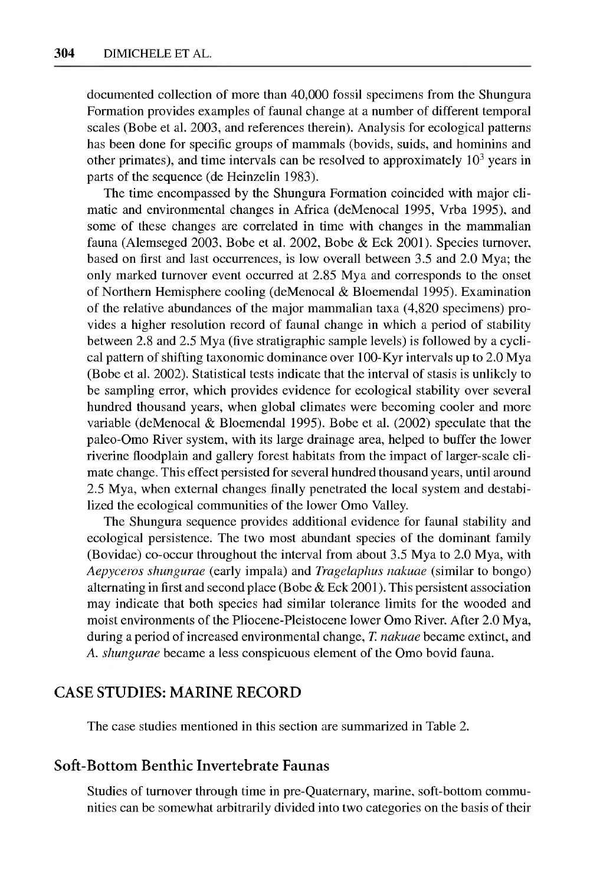documented collection of more than 40,000 fossil specimens from the Shungura Formation provides examples of faunal change at a number of different temporal scales (Bobe et al. 2003, and references therein). Analysis for ecological patterns has been done for specific groups of mammals (bovids, suids, and hominins and other primates), and time intervals can be resolved to approximately  $10<sup>3</sup>$  years in parts of the sequence (de Heinzelin 1983).

The time encompassed by the Shungura Formation coincided with major climatic and environmental changes in Africa (deMenocal 1995, Vrba 1995), and some of these changes are correlated in time with changes in the mammalian fauna (Alemseged 2003, Bobe et al. 2002, Bobe & Eck 2001). Species turnover, based on first and last occurrences, is low overall between 3.5 and 2.0 Mya; the only marked turnover event occurred at 2.85 Mya and corresponds to the onset of Northern Hemisphere cooling (deMenocal & Bloemendal 1995). Examination of the relative abundances of the major mammalian taxa (4,820 specimens) provides a higher resolution record of faunal change in which a period of stability between 2.8 and 2.5 Mya (five stratigraphie sample levels) is followed by a cyclical pattern of shifting taxonomic dominance over 100-Kyr intervals up to 2.0 Mya (Bobe et al. 2002). Statistical tests indicate that the interval of stasis is unlikely to be sampling error, which provides evidence for ecological stability over several hundred thousand years, when global climates were becoming cooler and more variable (deMenocal  $&$  Bloemendal 1995). Bobe et al. (2002) speculate that the paleo-Omo River system, with its large drainage area, helped to buffer the lower riverine floodplain and gallery forest habitats from the impact of larger-scale climate change. This effect persisted for several hundred thousand years, until around 2.5 Mya, when external changes finally penetrated the local system and destabilized the ecological communities of the lower Omo Valley.

The Shungura sequence provides additional evidence for faunal stability and ecological persistence. The two most abundant species of the dominant family (Bovidae) co-occur throughout the interval from about 3.5 Mya to 2.0 Mya, with *Aepyceros shungurae* (early impala) and *Tragelaphus nakuae* (similar to bongo) alternating in first and second place (Bobe & Eck 2001). This persistent association may indicate that both species had similar tolerance limits for the wooded and moist environments of the Pliocene-Pleistocene lower Omo River. After 2.0 Mya, during a period of increased environmental change, *T. nakuae* became extinct, and *A. shungurae* became a less conspicuous element of the Omo bovid fauna.

#### CASE STUDIES: MARINE RECORD

The case studies mentioned in this section are summarized in Table 2.

#### Soft-Bottom Benthic Invertebrate Faunas

Studies of turnover through time in pre-Quaternary, marine, soft-bottom communities can be somewhat arbitrarily divided into two categories on the basis of their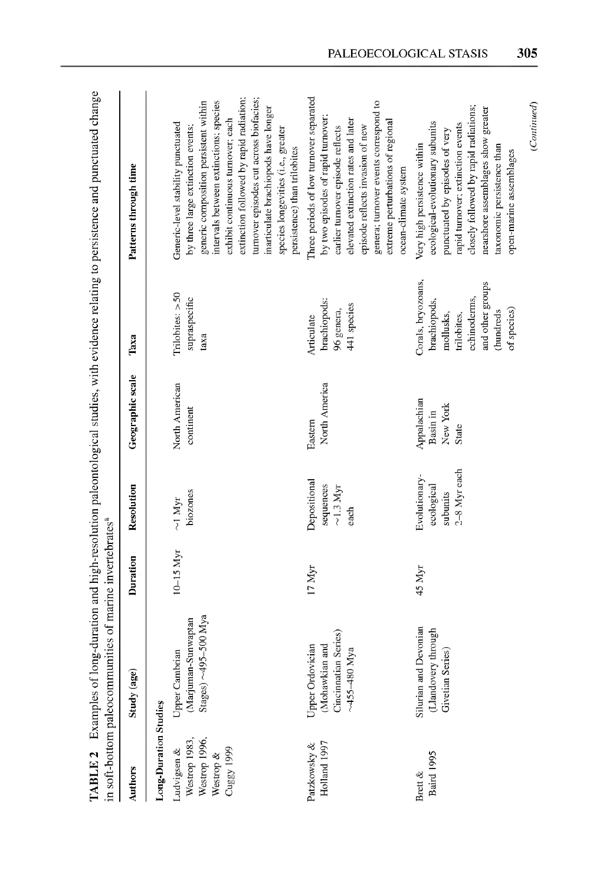|                                                                          | in soft-bottom paleocommunities of marine invertebrates <sup>a</sup>           |             |                                                                |                                              |                                                                                                                                | TABLE 2 Examples of long-duration and high-resolution paleontological studies, with evidence relating to persistence and punctuated change                                                                                                                                                                                                                                                          |
|--------------------------------------------------------------------------|--------------------------------------------------------------------------------|-------------|----------------------------------------------------------------|----------------------------------------------|--------------------------------------------------------------------------------------------------------------------------------|-----------------------------------------------------------------------------------------------------------------------------------------------------------------------------------------------------------------------------------------------------------------------------------------------------------------------------------------------------------------------------------------------------|
| <b>Authors</b>                                                           | Study (age)                                                                    | Duration    | Resolution                                                     | Geographic scale                             | Taxa                                                                                                                           | Patterns through time                                                                                                                                                                                                                                                                                                                                                                               |
| Long-Duration Studies                                                    |                                                                                |             |                                                                |                                              |                                                                                                                                |                                                                                                                                                                                                                                                                                                                                                                                                     |
| Westrop 1996,<br>Westrop 1983,<br>Ludvigsen &<br>Cuggy 1999<br>Westrop & | Stages) ~495-500 Mya<br>(Marjuman-Sunwaptan<br>Upper Cambrian                  | $10-15$ Myr | biozones<br>$\sim$   Myr                                       | North American<br>continent                  | Trilobites: >50<br>supraspecific<br>taxa                                                                                       | extinction followed by rapid radiation;<br>turnover episodes cut across biofacies;<br>intervals between extinctions; species<br>generic composition persistent within<br>inarticulate brachiopods have longer<br>exhibit continuous turnover; each<br>Generic-level stability punctuated<br>by three large extinction events:<br>species longevities (i.e., greater<br>persistence) than trilobites |
| Holland 1997<br>Patzkowsky &                                             | Cincinnatian Series)<br>(Mohawkian and<br>Upper Ordovician<br>$-455 - 480$ Mya | 17 Myr      | Depositional<br>sequences<br>${\sim}1.3\ \mathrm{Myr}$<br>each | North America<br>Eastern                     | brachiopods:<br>441 species<br>96 genera,<br>Articulate                                                                        | Three periods of low turnover separated<br>genera; turnover events correspond to<br>by two episodes of rapid turnover:<br>elevated extinction rates and later<br>extreme perturbations of regional<br>episode reflects invasion of new<br>earlier turnover episode reflects<br>ocean-climate system                                                                                                 |
| <b>Baird 1995</b><br>Brett &                                             | Silurian and Devonian<br>(Llandovery through<br>Givetian Series)               | 45 Myr      | 2-8 Myr each<br>Evolutionary-<br>ecological<br>subunits        | Appalachian<br>New York<br>Basin in<br>State | Corals, bryozoans,<br>and other groups<br>echinoderms,<br>brachiopods,<br>of species)<br>(hundreds<br>mollusks,<br>trilobites, | (Continued)<br>closely followed by rapid radiations;<br>nearshore assemblages show greater<br>ecological-evolutionary subunits<br>rapid turnover; extinction events<br>punctuated by episodes of very<br>Very high persistence within<br>taxonomic persistence than<br>open-marine assemblages                                                                                                      |

PALEOECOLOGICAL STASIS

305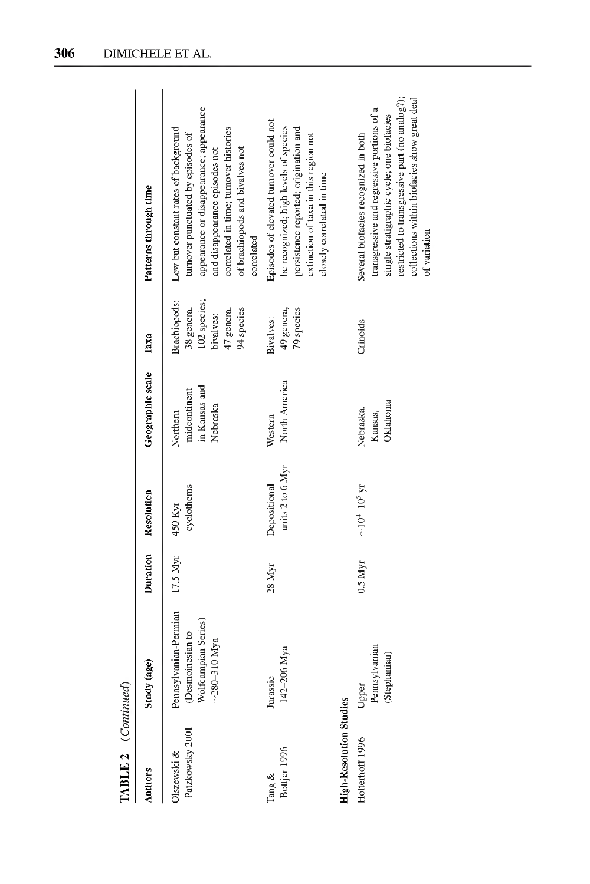| TABLE 2 (Continued)            |                                                                                                         |                     |                                            |                                                       |                                                                                     |                                                                                                                                                                                                                                                    |
|--------------------------------|---------------------------------------------------------------------------------------------------------|---------------------|--------------------------------------------|-------------------------------------------------------|-------------------------------------------------------------------------------------|----------------------------------------------------------------------------------------------------------------------------------------------------------------------------------------------------------------------------------------------------|
| Authors                        | Study (age)                                                                                             |                     | Duration Resolution                        | Geographic scale                                      | Taxa                                                                                | Patterns through time                                                                                                                                                                                                                              |
| Patzkowsky 2001<br>Olszewski & | Pennsylvanian-Permian 17.5 Myr 450 Kyr<br>Wolfcampian Series)<br>(Desmoinesian to<br>$\sim$ 280-310 Mya |                     | cyclothems                                 | in Kansas and<br>midcontinent<br>Nebraska<br>Northern | Brachiopods:<br>102 species;<br>38 genera,<br>94 species<br>47 genera.<br>bivalves: | appearance or disappearance; appearance<br>correlated in time; turnover histories<br>Low but constant rates of background<br>turnover punctuated by episodes of<br>of brachiopods and bivalves not<br>and disappearance episodes not<br>correlated |
| Bottjer 1996<br>Tang $\&$      | 142-206 Муа<br>Jurassic                                                                                 | 28 Муг              | units 2 to 6 Myr<br>Depositional           | North America<br>Western                              | 79 species<br>49 genera,<br>Bivalves:                                               | Episodes of elevated turnover could not<br>be recognized; high levels of species<br>persistence reported; origination and<br>extinction of taxa in this region not<br>closely correlated in time                                                   |
| High-Resolution Studies        |                                                                                                         |                     |                                            |                                                       |                                                                                     |                                                                                                                                                                                                                                                    |
| Holterhoff 1996                | Pennsylvanian<br>(Stephanian)<br>Upper                                                                  | $0.5\ \mathrm{Myr}$ | $\sim$ 10 <sup>4</sup> –10 <sup>5</sup> yr | Oklahoma<br>Nebraska,<br>Kansas,                      | Crinoids                                                                            | restricted to transgressive part (no analog?);<br>collections within biofacies show great deal<br>transgressive and regressive portions of a<br>single stratigraphic cycle; one biofacies<br>Several biofacies recognized in both<br>of variation  |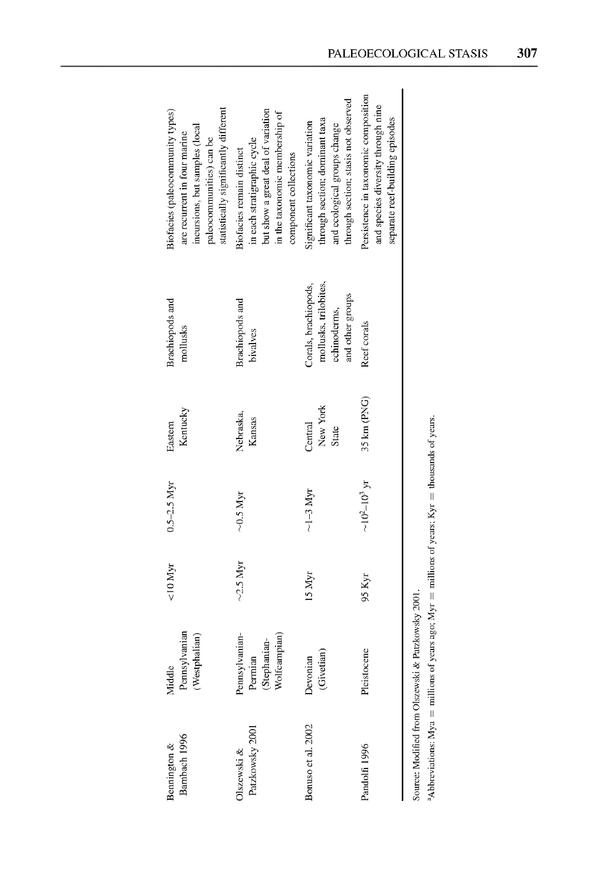| Biofacies (paleocommunity types)<br>statistically significantly different<br>incursions, but samples (local<br>are recurrent in four marine<br>paleocommunities) can be | but show a great deal of variation<br>in the taxonomic membership of<br>in each stratigraphic cycle<br>Biofacies remain distinct<br>component collections | through section; stasis not observed<br>through section; dominant taxa<br>Significant taxonomic variation<br>and ecological groups change | Persistence in taxonomic composition<br>and species diversity through nine<br>separate reef-building episodes |
|-------------------------------------------------------------------------------------------------------------------------------------------------------------------------|-----------------------------------------------------------------------------------------------------------------------------------------------------------|-------------------------------------------------------------------------------------------------------------------------------------------|---------------------------------------------------------------------------------------------------------------|
| Brachiopods and<br>mollusks                                                                                                                                             | Brachiopods and<br>bivalves                                                                                                                               | mollusks, trilobites,<br>Corals, brachiopods,<br>and other groups<br>echinoderms,                                                         | Reef corals                                                                                                   |
| Kentucky<br>Eastern                                                                                                                                                     | Nebraska,<br>Kansas                                                                                                                                       | New York<br>Central<br>State                                                                                                              | 35 km (PNG)                                                                                                   |
| $0.5 - 2.5$ Myr                                                                                                                                                         | $~0.5$ Myr                                                                                                                                                | ${\sim}1\text{--}3\ \text{Myr}$                                                                                                           | $\sim\!\!10^2\!\!-\!\!10^3\,\mathrm{yr}$                                                                      |
| $< 10$ Myr                                                                                                                                                              | $\sim$ 2.5 Myr                                                                                                                                            | 15 Myr                                                                                                                                    | 95 Kyr                                                                                                        |
| Pennsylvanian<br>(Westphalian)<br>Middle                                                                                                                                | Pennsylvanian-<br>Wolfcampian)<br>(Stephanian-<br>Permian                                                                                                 | (Givetian)<br>Devonian                                                                                                                    | Pleistocene                                                                                                   |
| Bambach 1996<br>Bennington &                                                                                                                                            | Patzkowsky 2001<br>Olszewski &                                                                                                                            | Bonuso et al. 2002                                                                                                                        | Pandolfi 1996                                                                                                 |

Source: Modified from Olszewski & Patzkowsky 2001.

<sup>3</sup>Abbreviations: Mya = millions of years ago; Myr = millions of years; Kyr = thousands of years.

307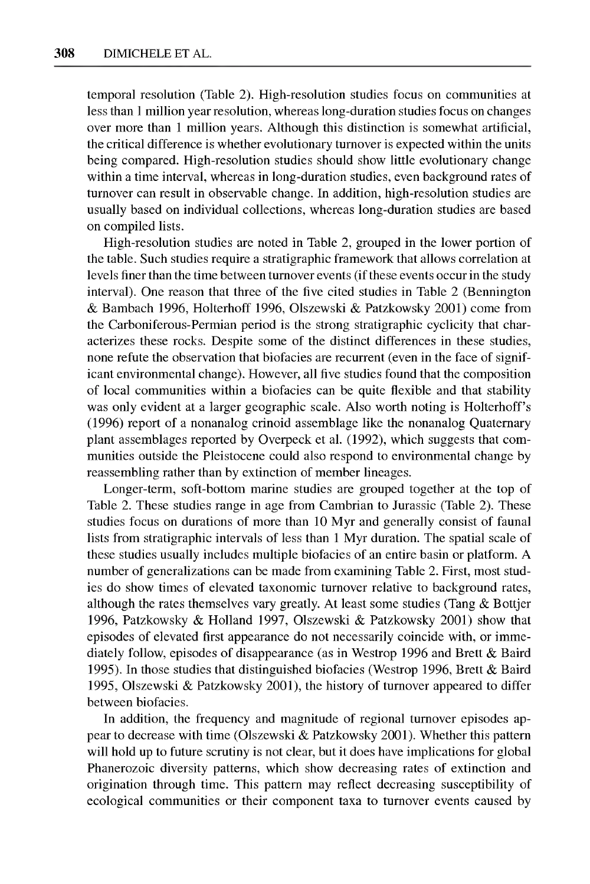temporal resolution (Table 2). High-resolution studies focus on communities at less than <sup>1</sup> million year resolution, whereas long-duration studies focus on changes over more than <sup>1</sup> million years. Although this distinction is somewhat artificial, the critical difference is whether evolutionary turnover is expected within the units being compared. High-resolution studies should show little evolutionary change within a time interval, whereas in long-duration studies, even background rates of turnover can result in observable change. In addition, high-resolution studies are usually based on individual collections, whereas long-duration studies are based on compiled lists.

High-resolution studies are noted in Table 2, grouped in the lower portion of the table. Such studies require a stratigraphie framework that allows correlation at levels finer than the time between turnover events (ifthese events occur in the study interval). One reason that three of the five cited studies in Table 2 (Bennington & Bambach 1996, Holterhoff 1996, Olszewski & Patzkowsky 2001) come from the Carboniferous-Permian period is the strong stratigraphie cyclicity that characterizes these rocks. Despite some of the distinct differences in these studies, none refute the observation that biofacies are recurrent (even in the face of significant environmental change). However, all five studies found that the composition of local communities within a biofacies can be quite flexible and that stability was only evident at a larger geographic scale. Also worth noting is Holterhoff's (1996) report of a nonanalog crinoid assemblage like the nonanalog Quaternary plant assemblages reported by Overpeck et al. (1992), which suggests that communities outside the Pleistocene could also respond to environmental change by reassembling rather than by extinction of member lineages.

Longer-term, soft-bottom marine studies are grouped together at the top of Table 2. These studies range in age from Cambrian to Jurassic (Table 2). These studies focus on durations of more than 10 Myr and generally consist of faunal lists from stratigraphie intervals of less than <sup>1</sup> Myr duration. The spatial scale of these studies usually includes multiple biofacies of an entire basin or platform. A number of generalizations can be made from examining Table 2. First, most studies do show times of elevated taxonomic turnover relative to background rates, although the rates themselves vary greatly. At least some studies (Tang & Bottjer 1996, Patzkowsky & Holland 1997, Olszewski & Patzkowsky 2001) show that episodes of elevated first appearance do not necessarily coincide with, or immediately follow, episodes of disappearance (as in Westrop 1996 and Brett & Baird 1995). In those studies that distinguished biofacies (Westrop 1996, Brett & Baird 1995, Olszewski & Patzkowsky 2001), the history of turnover appeared to differ between biofacies.

In addition, the frequency and magnitude of regional turnover episodes appear to decrease with time (Olszewski & Patzkowsky 2001). Whether this pattern will hold up to future scrutiny is not clear, but it does have implications for global Phanerozoic diversity patterns, which show decreasing rates of extinction and origination through time. This pattern may reflect decreasing susceptibility of ecological communities or their component taxa to turnover events caused by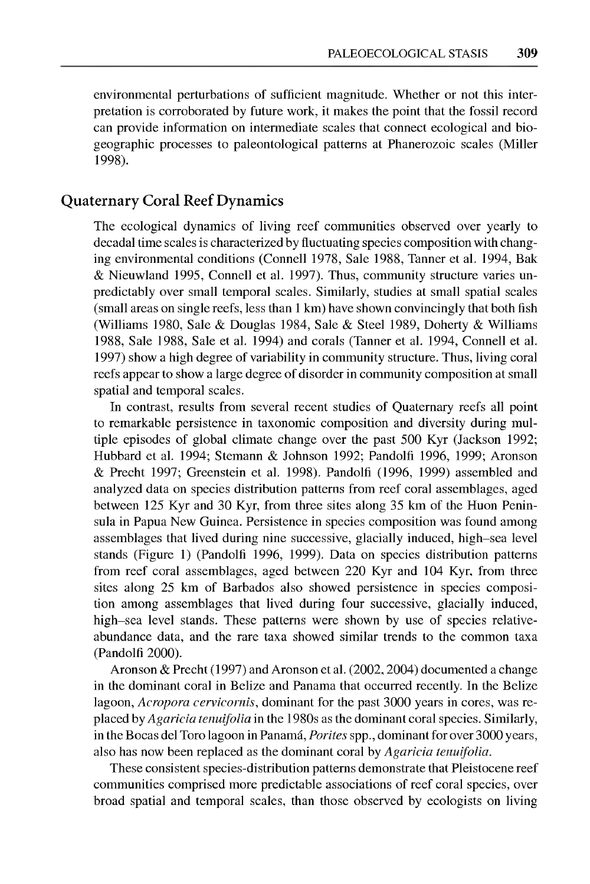environmental perturbations of sufficient magnitude. Whether or not this interpretation is corroborated by future work, it makes the point that the fossil record can provide information on intermediate scales that connect ecological and biogeographic processes to paleontological patterns at Phanerozoic scales (Miller 1998).

#### Quaternary Coral Reef Dynamics

The ecological dynamics of living reef communities observed over yearly to decadal time scales is characterized by fluctuating species composition with changing environmental conditions (Connell 1978, Sale 1988, Tanner et al. 1994, Bak & Nieuwland 1995, Connell et al. 1997). Thus, community structure varies unpredictably over small temporal scales. Similarly, studies at small spatial scales (small areas on single reefs, less than <sup>1</sup> km) have shown convincingly that both fish (Williams 1980, Sale & Douglas 1984, Sale & Steel 1989, Doherty & Wilhams 1988, Sale 1988, Sale et al. 1994) and corals (Tanner et al. 1994, Connell et al. 1997) show a high degree of variability in community structure. Thus, living coral reefs appear to show a large degree of disorder in community composition at small spatial and temporal scales.

In contrast, results from several recent studies of Quaternary reefs all point to remarkable persistence in taxonomic composition and diversity during multiple episodes of global climate change over the past 500 Kyr (Jackson 1992; Hubbard et al. 1994; Stemann & Johnson 1992; Pandolfi 1996, 1999; Aronson & Precht 1997; Greenstein et al. 1998). Pandolfi (1996, 1999) assembled and analyzed data on species distribution patterns from reef coral assemblages, aged between 125 Kyr and 30 Kyr, from three sites along 35 km of the Huon Peninsula in Papua New Guinea. Persistence in species composition was found among assemblages that lived during nine successive, glacially induced, high-sea level stands (Figure 1) (Pandolfi 1996, 1999). Data on species distribution patterns from reef coral assemblages, aged between 220 Kyr and 104 Kyr, from three sites along 25 km of Barbados also showed persistence in species composition among assemblages that lived during four successive, glacially induced, high-sea level stands. These patterns were shown by use of species relativeabundance data, and the rare taxa showed similar trends to the common taxa (Pandolfi 2000).

Aronson & Precht (1997) and Aronson et al. (2002, 2004) documented a change in the dominant coral in Belize and Panama that occurred recently. In the Belize lagoon, *Acropora cervicornis,* dominant for the past 3000 years in cores, was replaced by *Agaricia tenuifolia* in the 1980s as the dominant coral species. Similarly, in the Bocas del Toro lagoon in Panamá, *Porites* spp., dominant for over 3000 years, also has now been replaced as the dominant coral by *Agaricia tenuifolia.*

These consistent species-distribution patterns demonstrate that Pleistocene reef communities comprised more predictable associations of reef coral species, over broad spatial and temporal scales, than those observed by ecologists on living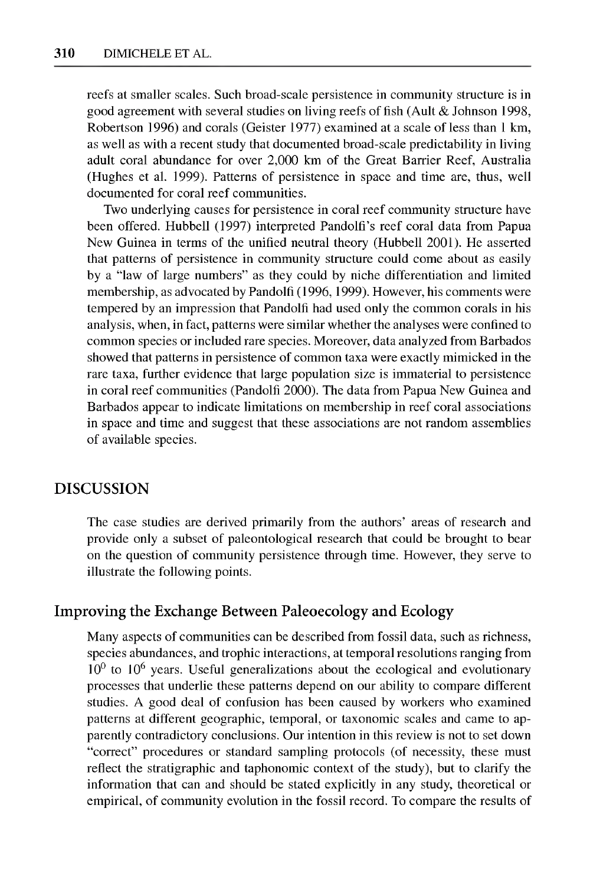reefs at smaller scales. Such broad-scale persistence in community structure is in good agreement with several studies on living reefs offish (Ault & Johnson 1998, Robertson 1996) and corals (Geister 1977) examined at a scale of less than <sup>1</sup> km, as well as with a recent study that documented broad-scale predictability in living adult coral abundance for over 2,000 km of the Great Barrier Reef, Australia (Hughes et al. 1999). Patterns of persistence in space and time are, thus, well documented for coral reef communities.

Two underlying causes for persistence in coral reef community structure have been offered. Hubbell (1997) interpreted Pandolfi's reef coral data from Papua New Guinea in terms of the unified neutral theory (Hubbell 2001). He asserted that patterns of persistence in community structure could come about as easily by a "law of large numbers" as they could by niche differentiation and limited membership, as advocated by Pandolfi (1996,1999). However, his comments were tempered by an impression that Pandolfi had used only the common corals in his analysis, when, in fact, patterns were similar whether the analyses were confined to common species or included rare species. Moreover, data analyzed from Barbados showed that patterns in persistence of common taxa were exactly mimicked in the rare taxa, further evidence that large population size is immaterial to persistence in coral reef communities (Pandolfi 2000). The data from Papua New Guinea and Barbados appear to indicate limitations on membership in reef coral associations in space and time and suggest that these associations are not random assemblies of available species.

#### DISCUSSION

The case studies are derived primarily from the authors' areas of research and provide only a subset of paleontological research that could be brought to bear on the question of community persistence through time. However, they serve to illustrate the following points.

#### Improving the Exchange Between Paleoecology and Ecology

Many aspects of communities can be described from fossil data, such as richness, species abundances, and trophic interactions, at temporal resolutions ranging from  $10<sup>0</sup>$  to  $10<sup>6</sup>$  years. Useful generalizations about the ecological and evolutionary processes that underlie these patterns depend on our ability to compare different studies. A good deal of confusion has been caused by workers who examined patterns at different geographic, temporal, or taxonomic scales and came to apparently contradictory conclusions. Our intention in this review is not to set down "correct" procedures or standard sampling protocols (of necessity, these must reflect the stratigraphie and taphonomic context of the study), but to clarify the information that can and should be stated explicitly in any study, theoretical or empirical, of community evolution in the fossil record. To compare the results of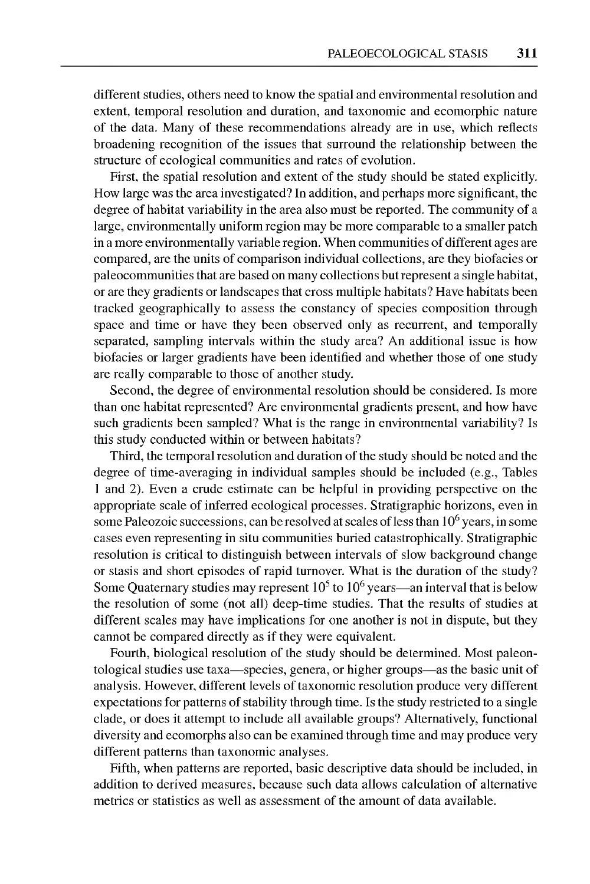different studies, others need to know the spatial and environmental resolution and extent, temporal resolution and duration, and taxonomic and ecomorphic nature of the data. Many of these recommendations already are in use, which reflects broadening recognition of the issues that surround the relationship between the structure of ecological communities and rates of evolution.

First, the spatial resolution and extent of the study should be stated explicitly. How large was the area investigated? In addition, and perhaps more significant, the degree of habitat variability in the area also must be reported. The community of a large, environmentally uniform region may be more comparable to a smaller patch in a more environmentally variable region. When communities of different ages are compared, are the units of comparison individual collections, are they biofacies or paleocommunities that are based on many collections but represent a single habitat, or are they gradients or landscapes that cross multiple habitats? Have habitats been tracked geographically to assess the constancy of species composition through space and time or have they been observed only as recurrent, and temporally separated, sampling intervals within the study area? An additional issue is how biofacies or larger gradients have been identified and whether those of one study are really comparable to those of another study.

Second, the degree of environmental resolution should be considered. Is more than one habitat represented? Are environmental gradients present, and how have such gradients been sampled? What is the range in environmental variability? Is this study conducted within or between habitats?

Third, the temporal resolution and duration of the study should be noted and the degree of time-averaging in individual samples should be included (e.g.. Tables <sup>1</sup> and 2). Even a crude estimate can be helpful in providing perspective on the appropriate scale of inferred ecological processes. Stratigraphie horizons, even in some Paleozoic successions, can be resolved at scales of less than  $10<sup>6</sup>$  years, in some cases even representing in situ communities buried catastrophically. Stratigraphie resolution is critical to distinguish between intervals of slow background change or stasis and short episodes of rapid turnover. What is the duration of the study? Some Quaternary studies may represent  $10^5$  to  $10^6$  years—an interval that is below the resolution of some (not all) deep-time studies. That the results of studies at different scales may have implications for one another is not in dispute, but they cannot be compared directly as if they were equivalent.

Fourth, biological resolution of the study should be determined. Most paleontological studies use taxa—species, genera, or higher groups—as the basic unit of analysis. However, different levels of taxonomic resolution produce very different expectations for patterns of stability through time. Is the study restricted to a single clade, or does it attempt to include all available groups? Alternatively, functional diversity and ecomorphs also can be examined through time and may produce very different patterns than taxonomic analyses.

Fifth, when patterns are reported, basic descriptive data should be included, in addition to derived measures, because such data allows calculation of alternative metrics or statistics as well as assessment of the amount of data available.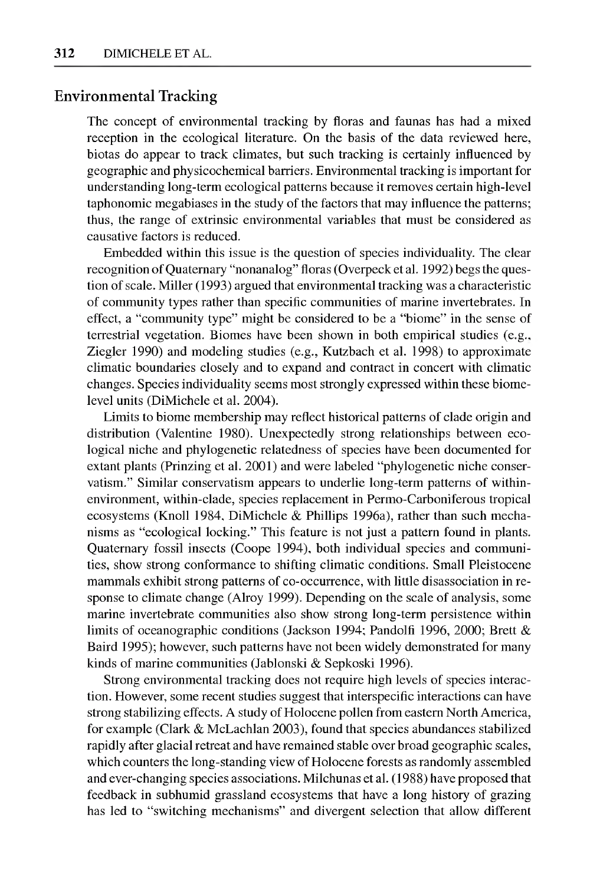#### Environmental Tracking

The concept of environmental tracking by floras and faunas has had a mixed reception in the ecological literature. On the basis of the data reviewed here, biotas do appear to track climates, but such tracking is certainly influenced by geographic and physicochemical barriers. Environmental tracking is important for understanding long-term ecological patterns because it removes certain high-level taphonomic megabiases in the study of the factors that may influence the patterns; thus, the range of extrinsic environmental variables that must be considered as causative factors is reduced.

Embedded within this issue is the question of species individuality. The clear recognition ofQuaternary "nonanalog" floras (Overpeck et al. 1992) begs the question of scale. Miller (1993) argued that environmental tracking was a characteristic of community types rather than specific communities of marine invertebrates. In effect, a "community type" might be considered to be a "biome" in the sense of terrestrial vegetation. Biomes have been shown in both empirical studies (e.g., Ziegler 1990) and modeling studies (e.g., Kutzbach et al. 1998) to approximate climatic boundaries closely and to expand and contract in concert with climatic changes. Species individuality seems most strongly expressed within these biomelevel units (DiMichele et al. 2004).

Limits to biome membership may reflect historical patterns of clade origin and distribution (Valentine 1980). Unexpectedly strong relationships between ecological niche and phylogenetic relatedness of species have been documented for extant plants (Prinzing et al. 2001) and were labeled "phylogenetic niche conservatism." Similar conservatism appears to underlie long-term patterns of withinenvironment, within-clade, species replacement in Permo-Carboniferous tropical ecosystems (Knoll 1984, DiMichele & Phillips 1996a), rather than such mechanisms as "ecological locking." This feature is not just a pattern found in plants. Quaternary fossil insects (Coope 1994), both individual species and communities, show strong conformance to shifting climatic conditions. Small Pleistocene mammals exhibit strong patterns of co-occurrence, with little disassociation in response to climate change (Alroy 1999). Depending on the scale of analysis, some marine invertebrate communities also show strong long-term persistence within limits of océanographie conditions (Jackson 1994; Pandolfi 1996, 2000; Brett & Baird 1995); however, such patterns have not been widely demonstrated for many kinds of marine communities (Jablonski & Sepkoski 1996).

Strong environmental tracking does not require high levels of species interaction. However, some recent studies suggest that interspecific interactions can have strong stabilizing effects. A study of Holocene pollen from eastern North America, for example (Clark & McLachlan 2003), found that species abundances stabilized rapidly after glacial retreat and have remained stable over broad geographic scales, which counters the long-standing view of Holocene forests as randomly assembled and ever-changing species associations. Milchunas et al. (1988) have proposed that feedback in subhumid grassland ecosystems that have a long history of grazing has led to "switching mechanisms" and divergent selection that allow different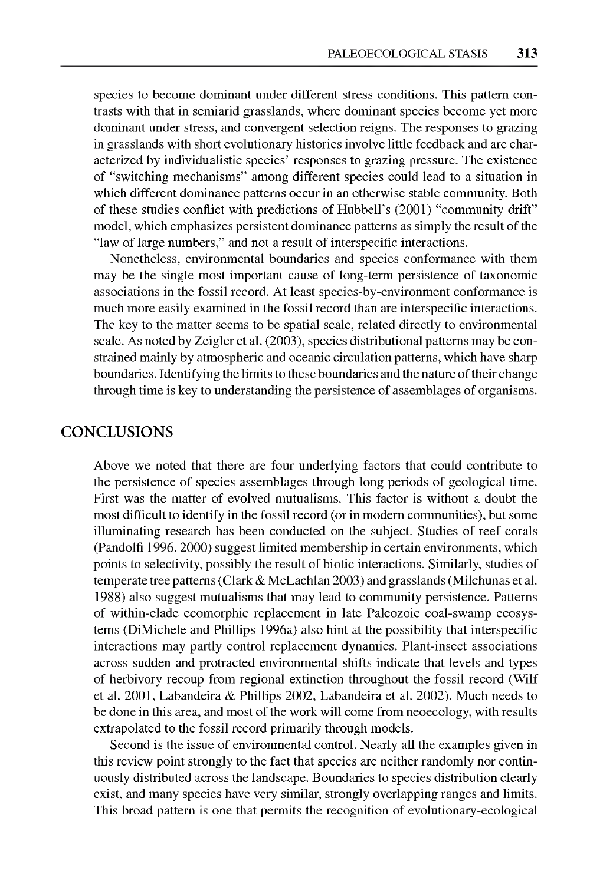species to become dominant under different stress conditions. This pattern contrasts with that in semiarid grasslands, where dominant species become yet more dominant under stress, and convergent selection reigns. The responses to grazing in grasslands with short evolutionary histories involve little feedback and are characterized by individualistic species' responses to grazing pressure. The existence of "switching mechanisms" among different species could lead to a situation in which different dominance patterns occur in an otherwise stable community. Both of these studies conflict with predictions of Hubbell's (2001) "community drift" model, which emphasizes persistent dominance patterns as simply the result of the "law of large numbers," and not a result of interspeciñc interactions.

Nonetheless, environmental boundaries and species conformance with them may be the single most important cause of long-term persistence of taxonomic associations in the fossil record. At least species-by-environment conformance is much more easily examined in the fossil record than are interspeciñc interactions. The key to the matter seems to be spatial scale, related directly to environmental scale. As noted by Zeigler et al. (2003), species distributional patterns may be constrained mainly by atmospheric and oceanic circulation patterns, which have sharp boundaries. Identifying the limits to these boundaries and the nature oftheir change through time is key to understanding the persistence of assemblages of organisms.

#### **CONCLUSIONS**

Above we noted that there are four underlying factors that could contribute to the persistence of species assemblages through long periods of geological time. First was the matter of evolved mutualisms. This factor is without a doubt the most difficult to identify in the fossil record (or in modern communities), but some illuminating research has been conducted on the subject. Studies of reef corals (Pandolfi 1996, 2000) suggest limited membership in certain environments, which points to selectivity, possibly the result of biotic interactions. Similarly, studies of temperate tree patterns (Clark & McLachlan 2003) and grasslands (Milchunas et al. 1988) also suggest mutualisms that may lead to community persistence. Patterns of within-clade ecomorphic replacement in late Paleozoic coal-swamp ecosystems (DiMichele and Phillips 1996a) also hint at the possibility that interspecific interactions may partly control replacement dynamics. Plant-insect associations across sudden and protracted environmental shifts indicate that levels and types of herbivory recoup from regional extinction throughout the fossil record (Wilf et al. 2001, Labandeira & Phillips 2002, Labandeira et al. 2002). Much needs to be done in this area, and most of the work will come from neoecology, with results extrapolated to the fossil record primarily through models.

Second is the issue of environmental control. Nearly all the examples given in this review point strongly to the fact that species are neither randomly nor continuously distributed across the landscape. Boundaries to species distribution clearly exist, and many species have very similar, strongly overlapping ranges and limits. This broad pattern is one that permits the recognition of evolutionary-ecological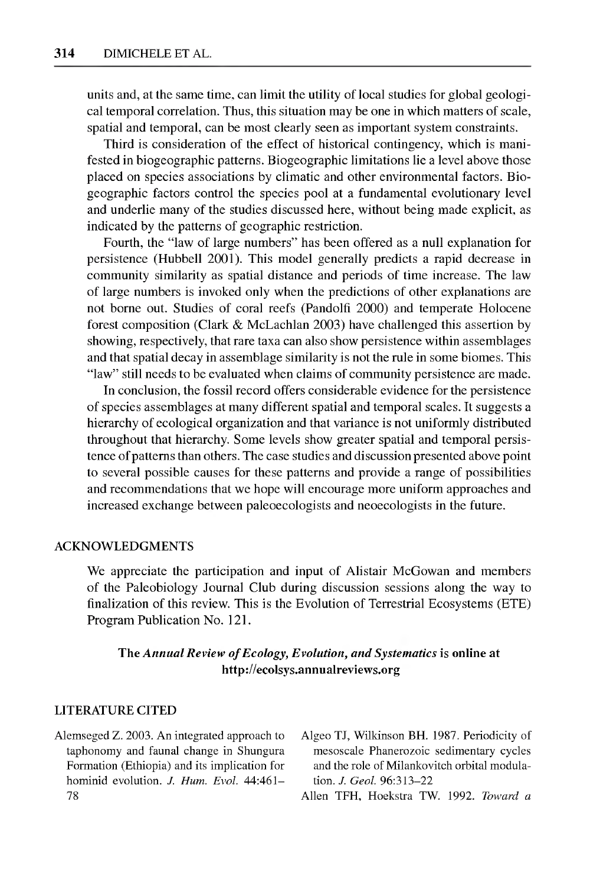units and, at the same time, can limit the utility of local studies for global geological temporal correlation. Thus, this situation may be one in which matters of scale, spatial and temporal, can be most clearly seen as important system constraints.

Third is consideration of the effect of historical contingency, which is manifested in biogeographic patterns. Biogeographic limitations lie a level above those placed on species associations by climatic and other environmental factors. Biogeographic factors control the species pool at a fundamental evolutionary level and underlie many of the studies discussed here, without being made explicit, as indicated by the patterns of geographic restriction.

Fourth, the "law of large numbers" has been offered as a null explanation for persistence (Hubbell 2001). This model generally predicts a rapid decrease in community similarity as spatial distance and periods of time increase. The law of large numbers is invoked only when the predictions of other explanations are not borne out. Studies of coral reefs (Pandolfi 2000) and temperate Holocene forest composition (Clark & McLachlan 2003) have challenged this assertion by showing, respectively, that rare taxa can also show persistence within assemblages and that spatial decay in assemblage similarity is not the rule in some biomes. This "law" still needs to be evaluated when claims of community persistence are made.

In conclusion, the fossil record offers considerable evidence for the persistence of species assemblages at many different spatial and temporal scales. It suggests a hierarchy of ecological organization and that variance is not uniformly distributed throughout that hierarchy. Some levels show greater spatial and temporal persistence of patterns than others. The case studies and discussion presented above point to several possible causes for these patterns and provide a range of possibilities and recommendations that we hope will encourage more uniform approaches and increased exchange between paleoecologists and neoecologists in the future.

#### ACKNOWLEDGMENTS

We appreciate the participation and input of Alistair McGowan and members of the Paleobiology Journal Club during discussion sessions along the way to finalization of this review. This is the Evolution of Terrestrial Ecosystems (ETE) Program Publication No. 121.

#### *The Annual Review ofEcology, Evolution, and Systematics* is online at http://ecolsys.annualreviews.org

#### LITERATURE CITED

- Alemseged Z. 2003. An integrated approach to Algeo TJ, Wilkinson BH. 1987. Periodicity of hominid evolution. *J. Hum. Evol. AA'Afii-* tion. 7. *Geol.* 96:313-22 78 Allen TFH, Hoekstra TW. 1992. *Toward a*
	- taphonomy and faunal change in Shungura mesoscale Phanerozoic sedimentary cycles Formation (Ethiopia) and its implication for and the role of Milankovitch orbital modula-
		-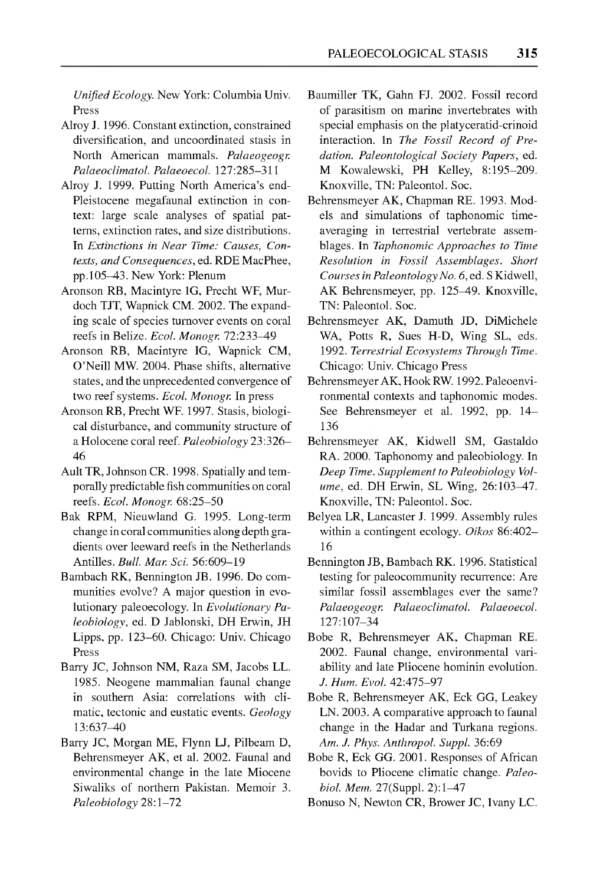*Unified Ecology.* New York: Columbia Univ. Press

- Alroy J. 1996. Constant extinction, constrained diversification, and uncoordinated stasis in North American mammals. *Palaeogeogr. Palaeoclimatol. Palaeoecol.* 127:285-311
- Alroy J. 1999. Putting North America's end-Pleistocene megafaunal extinction in context: large scale analyses of spatial patterns, extinction rates, and size distributions. In *Extinctions in Near Time: Causes, Contexts, and Consequences,* ed. RDE MacPhee, pp. 105-43. New York: Plenum
- Aronson RB, Macintyre IG, Precht WF, Murdoch TJT, Wapnick CM. 2002. The expanding scale of species turnover events on coral reefs in Belize. *Ecol. Monogr.* 72:233-49
- Aronson RB, Macintyre IG, Wapnick CM, O'Neill MW. 2004. Phase shifts, alternative states, and the unprecedented convergence of two reef systems. *Ecol. Monogr.* In press
- Aronson RB, Precht WF. 1997. Stasis, biological disturbance, and community structure of a Holocene coral reef. *Paleobiology* 23:326- 46
- Ault TR, Johnson CR. 1998. Spatially and temporally predictable fish communities on coral reefs. *Ecol. Monogr* 68:25-50
- Bak RPM, Nieuwland G. 1995. Long-term change in coral communities along depth gradients over leeward reefs in the Netherlands Antilles. *Bull. Mar Sei.* 56:609-19
- Bambach RK, Bennington JB. 1996. Do communities evolve? A major question in evolutionary paleoecology. In *Evolutionary Paleobiology,* ed. D Jablonski, DH Erwin, JH Lipps, pp. 123-60. Chicago: Univ. Chicago Press
- Barry JC, Johnson NM, Raza SM, Jacobs LL. 1985. Neogene mammalian faunal change in southern Asia: correlations with climatic, tectonic and eustatic events. *Geology* 13:637-40
- Barry JC, Morgan ME, Flynn LJ, Pilbeam D, Behrensmeyer AK, et al. 2002. Faunal and environmental change in the late Miocene Siwaliks of northern Pakistan. Memoir 3. *Paleobiology* 28:1-72
- Baumiller TK, Gahn FJ. 2002. Fossil record of parasitism on marine invertebrates with special emphasis on the platyceratid-crinoid interaction. In *The Fossil Record of Prédation. Paleontological Society Papers,* ed. M Kowalewski, PH Kelley, 8:195-209. Knoxville, TN: Paleontol. Soc.
- Behrensmeyer AK, Chapman RE. 1993. Models and simulations of taphonomic timeaveraging in terrestrial vertebrate assemblages. In *Taphonomic Approaches to Time Resolution in Fossil Assemblages. Short Courses in PaleontologyNo. 6,* ed. S Kidwell, AK Behrensmeyer, pp. 125-49. Knoxville, TN: Paleontol. Soc.
- Behrensmeyer AK, Damuth JD, DiMichele WA, Potts R, Sues H-D, Wing SL, eds. 1992. *Terrestrial Ecosystems Through Time.* Chicago: Univ. Chicago Press
- Behrensmeyer AK, HookRW. 1992. Paleoenvironmental contexts and taphonomic modes. See Behrensmeyer et al. 1992, pp. 14- 136
- Behrensmeyer AK, Kidwell SM, Gastaldo RA. 2000. Taphonomy and paleobiology. In *Deep Time. Supplement to Paleobiology Volume*, ed. DH Erwin, SL Wing, 26:103-47. Knoxville, TN: Paleontol. Soc.
- Belyea LR, Lancaster J. 1999. Assembly rules within a contingent ecology. *Oikos* 86:402- 16
- Bennington JB, Bambach RK. 1996. Statistical testing for paleocommunity recurrence: Are similar fossil assemblages ever the same? *Palaeogeogr. Palaeoclimatol. Palaeoecol.* 127:107-34
- Bobe R, Behrensmeyer AK, Chapman RE. 2002. Faunal change, environmental variability and late Pliocene hominin evolution. *J. Hum. Evol.* 42:475-97
- Bobe R, Behrensmeyer AK, Eck GG, Leakey LN. 2003. A comparative approach to faunal change in the Hadar and Turkana regions. *Am. J. Phys. Anthropol. Suppl.* 36:69
- Bobe R, Eck GG. 2001. Responses of African bovids to Pliocene climatic change. *Paleobiol. Mem.* 27(Suppl. 2): 1^7
- Bonuso N, Newton CR, Brower JC, Ivany LC.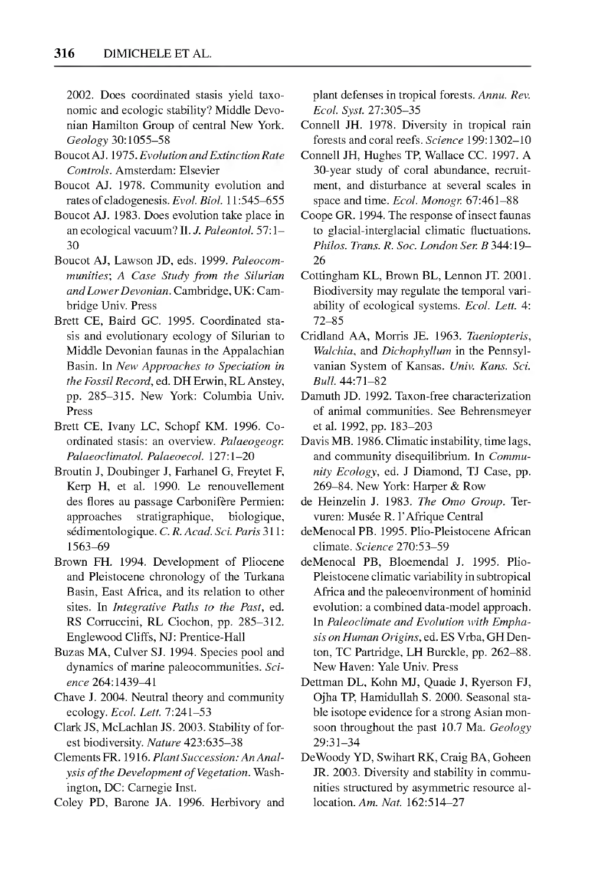2002. Does coordinated stasis yield taxonomic and écologie stability? Middle Devonian Hamilton Group of central New York. Geology 30:1055-58

- BoucotAJ. *1915. Evolution andExtinction Rate Controls.* Amsterdam: Elsevier
- Boucot AJ. 1978. Community evolution and rates of cladogenesis. *Evol. Biol.* 11:545-655
- Boucot AJ. 1983. Does evolution take place in an ecological vacuum? II. *J. Paleontol.* 57:1- 30
- Boucot AJ, Lawson JD, eds. 1999. *Paleocommunities; A Case Study from the Silurian andLowerDevonian.* Cambridge, UK: Cambridge Univ. Press
- Brett CE, Baird GC. 1995. Coordinated stasis and evolutionary ecology of Silurian to Middle Devonian faunas in the Appalachian Basin. In *New Approaches to Speciation in the Fossil Record,* ed. DH Erwin, RL Anstey, pp. 285-315. New York: Columbia Univ. Press
- Brett CE, Ivany LC, Schopf KM. 1996. Coordinated stasis: an overview. *Palaeogeogn Palaeoclimatol. Palaeoecol.* 127:1-20
- Broutin J, Doubinger J, Farhanel G, Freytet F, Kerp H, et al. 1990. Le renouvellement des flores au passage Carbonifère Permien: approaches stratigraphique, biologique, sédimentologique. C. *R. Acad. Sei. Paris* 311 : 1563-69
- Brown FH. 1994. Development of Pliocene and Pleistocene chronology of the Turkana Basin, East Africa, and its relation to other sites. In *Integrative Paths to the Past,* ed. RS Corruccini, RL Ciochon, pp. 285-312. Englewood Cliffs, NJ: Prentice-Hall
- Buzas MA, Culver SJ. 1994. Species pool and dynamics of marine paleocommunities. Science 264:1439-41
- Chave J. 2004. Neutral theory and community ecology. *Ecol. Lett.* 7:241-53
- Clark JS, McLachlan JS. 2003. Stability of forest biodiversity. *Nature* 423:635-38
- Clements FR. 1916. *Plant Succession: AnAnalysis of the Development of Vegetation*. Washington, DC: Carnegie Inst.
- Coley PD, Barone JA. 1996. Herbivory and

plant defenses in tropical forests. *Annu. Rev. Ecol. Syst* 27:305-35

- Connell JH. 1978. Diversity in tropical rain forests and coral reefs. *Science* 199:1302-10
- Connell JH, Hughes TP, Wallace CC. 1997. A 30-year study of coral abundance, recruitment, and disturbance at several scales in space and time. *Ecol. Monogr* 67:461-88
- Coope GR. 1994. The response of insect faunas to glacial-interglacial climatic fluctuations. *Philos. Trans. R. Soc. London Ser B* 344:19- 26
- Cottingham KL, Brown BL, Lennon JT 2001. Biodiversity may regulate the temporal variability of ecological systems. *Ecol. Lett.* 4: 72-85
- Cridland AA, Morris JE. 1963. *Taeniopteris, Walchia,* and *Dichophyllum* in the Pennsylvanian System of Kansas. *Univ. Kans. Sei. Bull. 44:11-9,2*
- Damuth JD. 1992. Taxon-free characterization of animal communities. See Behrensmeyer et al. 1992, pp. 183-203
- Davis MB. 1986. Climatic instability, time lags, and community disequilibrium. In *Community Ecology,* ed. J Diamond, TJ Case, pp. 269-84. New York: Harper & Row
- de Heinzelin J. 1983. *The Omo Group.* Tervuren: Musée R. l'Afrique Central
- deMenocal PB. 1995. Plio-Pleistocene African climate. *Science* 270:53-59
- deMenocal PB, Bloemendal J. 1995. Plio-Pleistocene climatic variability in subtropical Africa and the paleoenvironment of hominid evolution: a combined data-model approach. In *Paleoclimate and Evolution with Emphasis on Human Origins,* ed. ES Vrba, GH Denton, TC Partridge, LH Burckle, pp. 262-88. New Haven: Yale Univ. Press
- Dettman DL, Kohn MJ, Quade J, Ryerson FJ, Ojha TP, Hamidullah S. 2000. Seasonal stable isotope evidence for a strong Asian monsoon throughout the past 10.7 Ma. *Geology* 29:31-34
- DeWoody YD, Swihart RK, Craig BA, Goheen JR. 2003. Diversity and stability in communities structured by asymmetric resource allocation. Am. Nat. 162:514-27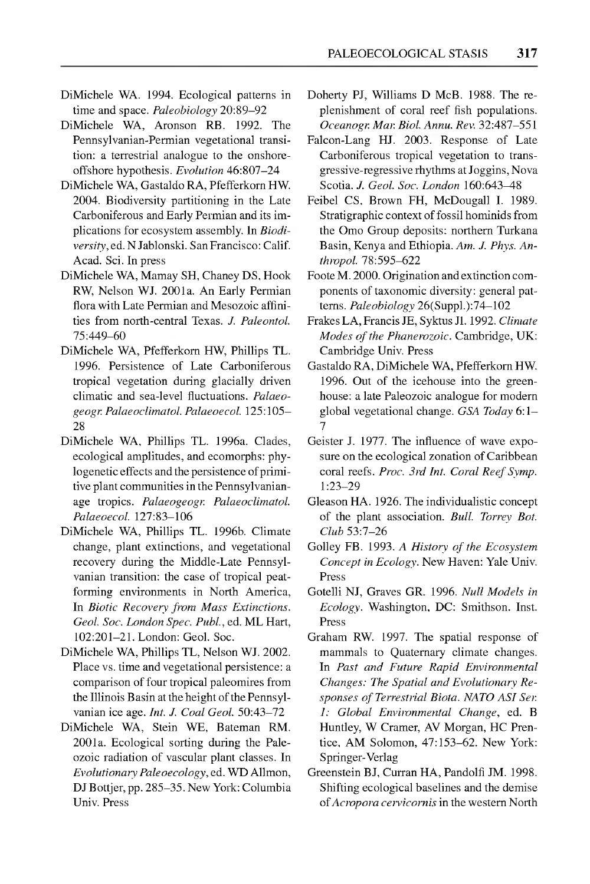- DiMichele WA. 1994. Ecological patterns in time and space. *Paleobiology* 20:89-92
- DiMichele WA, Aronson RB. 1992. The Pennsylvanian-Permian vegetational transition: a terrestrial analogue to the onshoreoffshore hypothesis. *Evolution* 46:807-24
- DiMichele WA, Gastaldo RA, Pfefferkorn HW. 2004. Biodiversity partitioning in the Late Carboniferous and Early Permian and its implications for ecosystem assembly. In *Biodiversity,* ed. N Jablonski. San Francisco: Calif. Acad. Sei. In press
- DiMichele WA, Mamay SH, Chaney DS, Hook RW, Nelson WJ. 2001a. An Early Permian flora with Late Permian and Mesozoic affinities from north-central Texas. *J. Paleontol.* 75:449-60
- DiMichele WA, Pfefferkorn HW, Phillips TL. 1996. Persistence of Late Carboniferous tropical vegetation during glacially driven climatic and sea-level fluctuations. *Palaeogeogr. Palaeoclimatol. Palaeoecol.* 125:105- 28
- DiMichele WA, Phillips TL. 1996a. Clades, ecological amplitudes, and ecomorphs: phylogenetic effects and the persistence of primitive plant communities in the Pennsylvanianage tropics. *Palaeogeogr. Palaeoclimatol. Palaeoecol.* 127:83-106
- DiMichele WA, Phillips TL. 1996b. Climate change, plant extinctions, and vegetational recovery during the Middle-Late Pennsylvanian transition: the case of tropical peatforming environments in North America, In *Biotic Recovery from Mass Extinctions. Geol. Soc. London Spec. Publ.*, ed. ML Hart, 102:201-21. London: Geol. Soc.
- DiMichele WA, Phillips TL, Nelson WJ. 2002. Place vs. time and vegetational persistence: a comparison of four tropical paleomires from the Illinois Basin at the height of the Pennsylvanian ice age. *Int. J. Coal Geol.* 50:43-72
- DiMichele WA, Stein WE, Bateman RM. 2001a. Ecological sorting during the Paleozoic radiation of vascular plant classes. In *Evolutionary Paleoecology,* ed. WD Alimón, DJ Bottjer, pp. 285-35. New York: Columbia Univ. Press
- Doherty PJ, Williams D McB. 1988. The replenishment of coral reef fish populations. *Oceanogr. Mar. Biol. Annu. Rev.* 32:487-551
- Falcon-Lang HJ. 2003. Response of Late Carboniferous tropical vegetation to transgressive-regressive rhythms at Joggins, Nova Scotia. *J. Geol. Soc. London* 160:643^8
- Feibel CS, Brown FH, McDougall I. 1989. Stratigraphic context of fossil hominids from the Omo Group deposits: northern Turkana Basin, Kenya and Ethiopia. *Am. J. Phys. Anthropol.* 78:595-622
- Foote M. 2000. Origination and extinction components of taxonomic diversity: general patterns. *Paleobiology* 26(Suppl.):74-102
- Frakes LA, Francis JE, Syktus JI. 1992. *Climate Modes ofthe Phanerozoic.* Cambridge, UK: Cambridge Univ. Press
- Gastaldo RA, DiMichele WA, Pfefferkorn HW. 1996. Out of the icehouse into the greenhouse: a late Paleozoic analogue for modern global vegetational change. *GSA Today* 6:1- 7
- Geister J. 1977. The influence of wave exposure on the ecological zonation of Caribbean coral reefs. *Proc. 3rd Int. Coral Reef Symp.* 1:23-29
- Gleason HA. 1926. The individualistic concept of the plant association. *Bull. Torrey Bot. Club* 53:7-26
- Golley FB. 1993. *A History of the Ecosystem Concept in Ecology.* New Haven: Yale Univ. Press
- Gotelli NJ, Graves GR. 1996. *Null Models in Ecology.* Washington, DC: Smithson. Inst. Press
- Graham RW. 1997. The spatial response of mammals to Quaternary climate changes. In *Past and Future Rapid Environmental Changes: The Spatial and Evolutionary Responses of Terrestrial Biota. NATO ASI Ser 1: Global Environmental Change,* ed. B Huntley, W Cramer, AV Morgan, HC Prentice, AM Solomon, 47:153-62. New York: Springer-Verlag
- Greenstein BJ, Curran HA, Pandolfi JM. 1998. Shifting ecological baselines and the demise *oîAcropora cervicornis* in the western North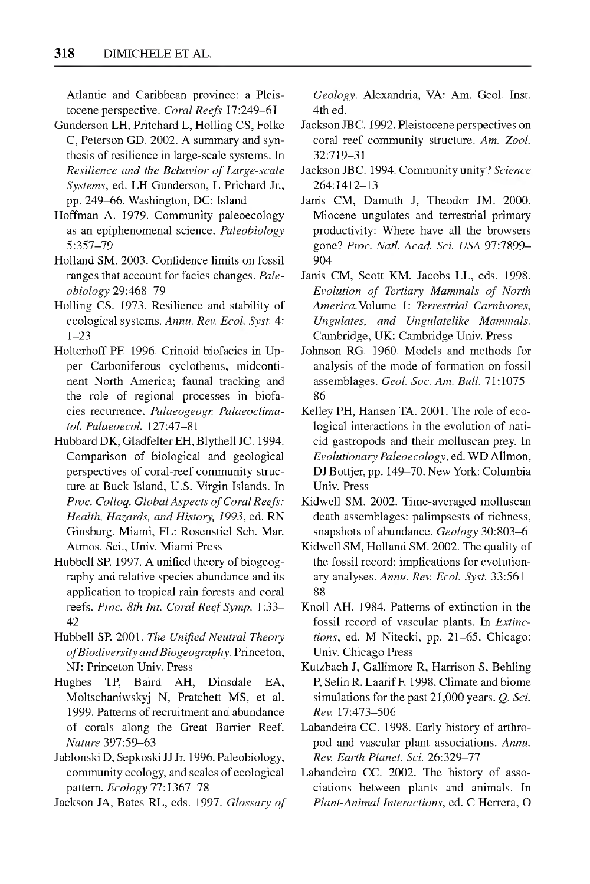Atlantic and Caribbean province: a Pleistocene perspective. *Coral Reefs* 17:249-61

- Gunderson LH, Pritchard L, Holling CS, Folke C, Peterson GD. 2002. A summary and synthesis of resilience in large-scale systems. In *Resilience and the Behavior of Large-scale Systems,* ed. LH Gunderson, L Prichard Jr., pp. 249-66. Washington, DC: Island
- Hoffman A. 1979. Community paleoecology as an epiphenomenal science. *Paleobiology* 5:357-79
- Holland SM. 2003. Confidence limits on fossil ranges that account for facies changes. *Paleobiology* 29:468-79
- Holling CS. 1973. Resilience and stability of ecological systems. *Annu. Rev. Ecol. Syst.* 4: 1-23
- Holterhoff PR 1996. Crinoid biofacies in Upper Carboniferous cyclothems, midcontinent North America; faunal tracking and the role of regional processes in biofacies recurrence. *Palaeogeogr Palaeoclimatol. Palaeoecol.* 127:47-81
- Hubbard DK, Gladfelter EH, Blythell JC. 1994. Comparison of biological and geological perspectives of coral-reef community structure at Buck Island, U.S. Virgin Islands. In *Proc. Colloq. GlobalAspects ofCoral Reefs: Health, Hazards, and History, 1993,* ed. RN Ginsburg. Miami, FL: Rosenstiel Sch. Mar. Atmos. Sei., Univ. Miami Press
- Hubbell SP. 1997. A unified theory of biogeography and relative species abundance and its application to tropical rain forests and coral reefs. *Proc. 8th Int. Coral Reef Symp.* 1:33- 42
- Hubbell SP 2001. *The Unified Neutral Theory ofBiodiversity andBiogeography.* Princeton, NJ: Princeton Univ. Press
- Hughes TP, Baird AH, Dinsdale EA, Moltschaniwskyj N, Pratchett MS, et al. 1999. Patterns of recruitment and abundance of corals along the Great Barrier Reef. *Nature* 397:59-63
- Jablonski D, SepkoskiJJJr. 1996. Paleobiology, community ecology, and scales of ecological pattern. *Ecology* 77:1367-78
- Jackson JA, Bates RL, eds. 1997. *Glossary of*

*Geology.* Alexandria, VA: Am. Geol. Inst. 4th ed.

- Jackson JBC. 1992. Pleistocene perspectives on coral reef community structure. *Am. Zool.* 32:719-31
- Jackson JBC. 1994. Community unity? *Science* 264:1412-13
- Janis CM, Damuth J, Theodor JM. 2000. Miocene ungulates and terrestrial primary productivity: Where have all the browsers gone? *Proc. Nati. Acad. Sei. USA* 97:7899- 904
- Janis CM, Scott KM, Jacobs LL, eds. 1998. *Evolution of Tertiary Mammals of North* Amenca.Volume 1: *Terrestrial Carnivores, Ungulates, and Ungulatelike Mammals.* Cambridge, UK: Cambridge Univ. Press
- Johnson RG. 1960. Models and methods for analysis of the mode of formation on fossil assemblages. *Geol. Soc. Am. Bull.* 71:1075- 86
- Kelley PH, Hansen TA. 2001. The role of ecological interactions in the evolution of naticid gastropods and their molluscan prey. In *Evolutionary Paleoecology,* ed. WD AUmon, DJ Bottjer, pp. 149-70. New York: Columbia Univ. Press
- Kidwell SM. 2002. Time-averaged molluscan death assemblages: palimpsests of richness, snapshots of abundance. *Geology* 30:803-6
- Kidwell SM, Holland SM. 2002. The quality of the fossil record: implications for evolutionary analyses. *Annu. Rev. Ecol. Syst.* 33:561- 88
- Knoll AH. 1984. Patterns of extinction in the fossil record of vascular plants. In *Extinctions,* ed. M Nitecki, pp. 21-65. Chicago: Univ. Chicago Press
- Kutzbach J, Gallimore R, Harrison S, Behling P, Selin R, Laarif F. 1998. Climate and biome simulations for the past 21,000 years. *Q. Sei. Rev* 17:473-506
- Labandeira CC. 1998. Early history of arthropod and vascular plant associations. *Annu. Rev. Earth Planet. Sei.* 26:329-77
- Labandeira CC. 2002. The history of associations between plants and animals. In *Plant-Animal Interactions,* ed. C Herrera, O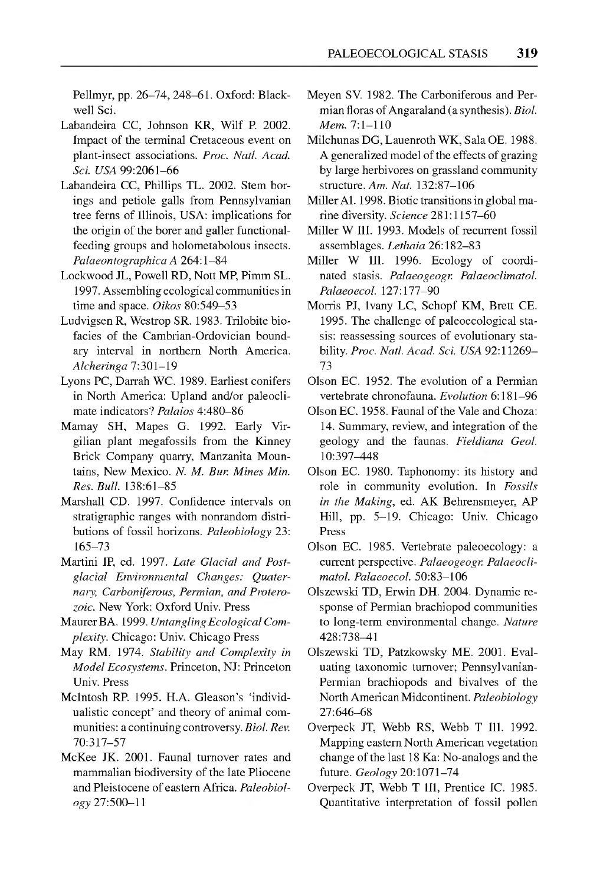Pellmyr, pp. 26-74, 248-61. Oxford: Blackwell Sei.

- Labandeira CC, Johnson KR, Wilf P. 2002. Impaet of the terminal Cretaceous event on plant-insect associations. *Proc. Nati. Acad. Sei. USA* 99:2061-66
- Labandeira CC, Phillips TL. 2002. Stem borings and petiole galls from Pennsylvanian tree ferns of Illinois, USA: implications for the origin of the borer and galler functionalfeeding groups and holometabolous insects. *Palaeontographica A* 264:1-84
- Lockwood JL, Powell RD, Nott MP, Pimm SL. 1997. Assembling ecological communitiesin time and space. *Oikos* 80:549-53
- Ludvigsen R, Westrop SR. 1983. Trilobite biofacies of the Cambrian-Ordovician boundary interval in northern North America. *Alcheringa* 7:301-19
- Lyons PC, Darrah WC. 1989. Earliest conifers in North America: Upland and/or paleoclimate indicators? *Palaios* 4:480-86
- Mamay SH, Mapes G. 1992. Early Virgilian plant megafossils from the Kinney Brick Company quarry, Manzanita Mountains, New Mexico. *N. M. Bur. Mines Min. Res. Bull.* 138:61-85
- Marshall CD. 1997. Confidence intervals on stratigraphie ranges with nonrandom distributions of fossil horizons. *Paleobiology* 23: 165-73
- Martini IP, ed. 1997. *Late Glacial and Postglacial Environmental Changes: Quaternary, Carboniferous, Permian, and Proterozoic.* New York: Oxford Univ. Press
- Maurer BA. 1999. *Untangling Ecological Complexity.* Chicago: Univ. Chicago Press
- May RM. 1974. *Stability and Complexity in Model Ecosystems.* Princeton, NJ: Princeton Univ. Press
- McIntosh RP. 1995. H.A. Gleason's 'individualistic concept' and theory of animal communities: a continuing controversy. *Biol. Rev.* 70:317-57
- McKee JK. 2001. Faunal turnover rates and mammalian biodiversity of the late Pliocene and Pleistocene of eastern Africa. *Paleobiology 21-.500-11*
- Meyen SV. 1982. The Carboniferous and Permian floras of Angaraland (a synthesis). *Biol. Mem.* 7:1-110
- Milchunas DG, Lauenroth WK, Sala OE. 1988. A generalized model of the effects of grazing by large herbivores on grassland community structure. *Am. Nat.* 132:87-106
- Miller AI. 1998. Biotic transitions in global marine diversity. *Science* 281:1157-60
- Miller W III. 1993. Models of recurrent fossil assemblages. *Lethaia* 26:182-83
- Miller W III. 1996. Ecology of coordinated stasis. *Palaeogeogr Palaeoclimatol. Palaeoecol.* 127:177-90
- Morris PJ, Ivany LC, Schopf KM, Brett CE. 1995. The challenge of paleoecological stasis: reassessing sources of evolutionary stability. *Proc. Nati. Acad. Sei. USA* 92:11269- 73
- Olson EC. 1952. The evolution of a Permian vertebrate chronofauna. *Evolution* 6:181-96
- Olson EC. 1958. Faunal of the Vale and Choza: 14. Summary, review, and integration of the geology and the faunas. *Fieldiana Geol.* 10:397-448
- Olson EC. 1980. Taphonomy: its history and role in community evolution. In *Fossils in the Making,* ed. AK Behrensmeyer, AP Hill, pp. 5-19. Chicago: Univ. Chicago Press
- Olson EC. 1985. Vertebrate paleoecology: a current perspective. *Palaeogeogr Palaeoclimatol. Palaeoecol.* 50:83-106
- Olszewski TD, Erwin DH. 2004. Dynamic response of Permian brachiopod communities to long-term environmental change. *Nature* 428:738-41
- Olszewski TD, Patzkowsky ME. 2001. Evaluating taxonomic turnover; Pennsylvanian-Permian brachiopods and bivalves of the North American Midcontinent. *Paleobiology* 27:646-68
- Overpeck JT, Webb RS, Webb T III. 1992. Mapping eastern North American vegetation change of the last 18 Ka: No-analogs and the future. *Geology* 20:1071-74
- Overpeck JT, Webb T III, Prentice IC. 1985. Quantitative interpretation of fossil pollen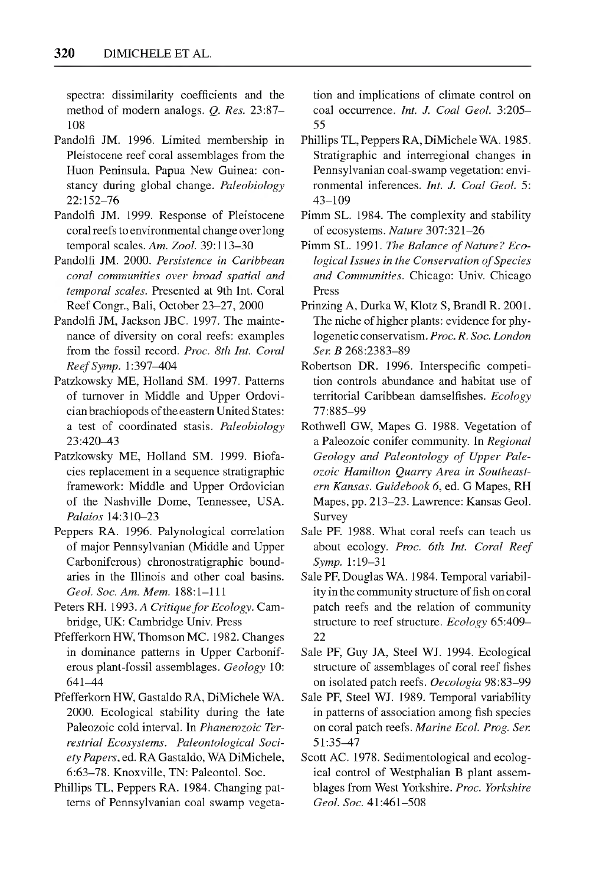spectra: dissimilarity coefficients and the method of modern analogs. *Q. Res.* 23:87- 108

- Pandolfi JM. 1996. Limited membership in Pleistocene reef coral assemblages from the Huon Peninsula, Papua New Guinea: constancy during global change. *Paleobiology* 22:152-76
- Pandolfi JM. 1999. Response of Pleistocene coral reefs to environmental change over long temporal scales. *Am. Zool.* 39:113-30
- Pandolfi JM. 2000. *Persistence in Caribbean coral communities over broad spatial and temporal scales.* Presented at 9th Int. Coral Reef Congr., Bali, October 23-27, 2000
- Pandolfi JM, Jackson JBC. 1997. The maintenance of diversity on coral reefs: examples from the fossil record. *Proc. 8th Int. Coral ReefSymp.* 1:397^04
- Patzkowsky ME, Holland SM. 1997. Patterns of turnover in Middle and Upper Ordovician brachiopods ofthe eastern United States: a test of coordinated stasis. *Paleobiology* 23:420^3
- Patzkowsky ME, Holland SM. 1999. Biofacies replacement in a sequence stratigraphie framework: Middle and Upper Ordovician of the Nashville Dome, Tennessee, USA. *Palaios* 14:310-23
- Peppers RA. 1996. Palynological correlation of major Pennsylvanian (Middle and Upper Carboniferous) chronostratigraphic boundaries in the Illinois and other coal basins. *Geol. Soc. Am. Mem.* 188:1-111
- Peters RH. 1993. A Critique for *Ecology*. Cambridge, UK: Cambridge Univ. Press
- Pfefferkorn HW, Thomson MC. 1982. Changes in dominance patterns in Upper Carboniferous plant-fossil assemblages. *Geology* 10: 641-44
- Pfefferkorn HW, Gastaldo RA, DiMichele WA. 2000. Ecological stability during the late Paleozoic cold interval. In *Phanerozoic Terrestrial Ecosystems. Paleontological Society Papers,* ed. RA Gastaldo, WA DiMichele, 6:63-78. Knoxville, TN: Paleontol. Soc.
- Phillips TL, Peppers RA. 1984. Changing patterns of Pennsylvanian coal swamp vegeta-

tion and implications of climate control on coal occurrence. *Int. J. Coal Geol.* 3:205- 55

- Phillips TL, Peppers RA, DiMichele WA. 1985. Stratigraphie and interregional changes in Pennsylvanian coal-swamp vegetation: environmental inferences. *Int. J. Coal Geol.* 5: 43-109
- Pimm SL. 1984. The complexity and stability of ecosystems. *Nature* 307:321-26
- Pimm SL. 1991. *The Balance of Nature? Ecological Issues in the Conservation ofSpecies and Communities.* Chicago: Univ. Chicago Press
- Prinzing A, Durka W, Klotz S, Brandi R. 2001. The niche of higher plants: evidence for phylogenetic conservatism. *Proc. R. Soc. London Ser B* 268:2383-89
- Robertson DR. 1996. Interspecific competition controls abundance and habitat use of territorial Caribbean damselfishes. *Ecology* 77:885-99
- Rothwell GW, Mapes G. 1988. Vegetation of a Paleozoic conifer community. In *Regional Geology and Paleontology of Upper Paleozoic Hamilton Quarry Area in Southeastern Kansas. Guidebook 6,* ed. G Mapes, RH Mapes, pp. 213-23. Lawrence: Kansas Geol. Survey
- Sale PF. 1988. What coral reefs can teach us about ecology. *Proc. 6th Int. Coral Reef Symp.* 1:19-31
- Sale PF, Douglas WA. 1984. Temporal variability in the community structure of fish on coral patch reefs and the relation of community structure to reef structure. *Ecology* 65:409- 22
- Sale PF, Guy JA, Steel WJ. 1994. Ecological structure of assemblages of coral reef fishes on isolated patch reefs. *Oecologia* 98:83-99
- Sale PF, Steel WJ. 1989. Temporal variability in patterns of association among fish species on coral patch reefs. *Marine Ecol. Prog. Ser* 51:35-47
- Scott AC. 1978. Sedimentological and ecological control of Westphalian B plant assemblages from West Yorkshire. *Proc. Yorkshire* Geo/.5oc. 41:461-508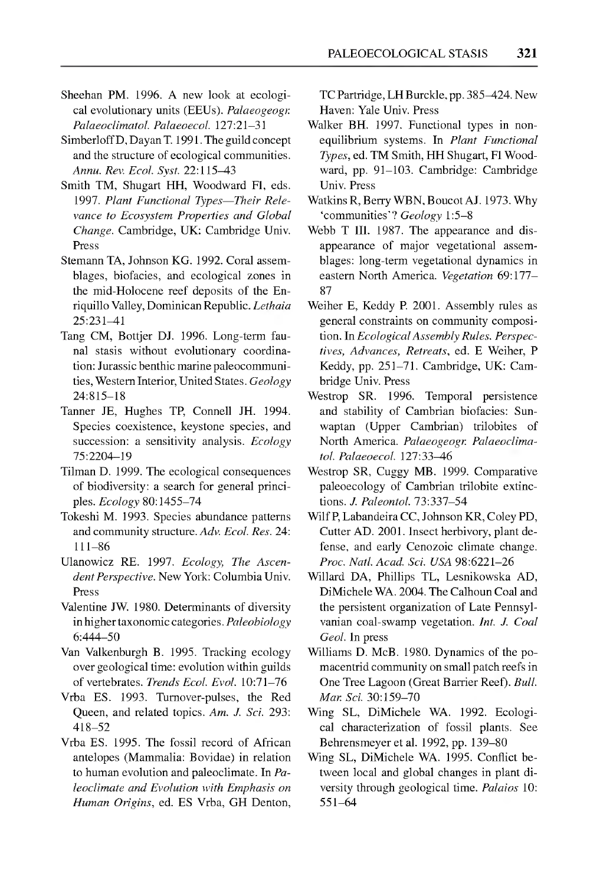- Sheehan PM. 1996. A new look at ecological evolutionary units (EEUs). *Palaeogeogr. Palaeoclimatol. Palaeoecol.* 127:21-31
- SimberloffD, Dayan T. 1991. The guild concept and the structure of ecological communities. *Annu. Rev. Ecol. Syst.* 22:115^3
- Smith TM, Shugart HH, Woodward PI, eds. 1997. Plant Functional Types-Their Rele*vance to Ecosystem Properties and Global Change.* Cambridge, UK: Cambridge Univ. Press
- Stemann TA, Johnson KG. 1992. Coral assemblages, biofacies, and ecological zones in the mid-Holocene reef deposits of the Enriquillo Valley, Dominican Republic. *Lethaia* 25:231-41
- Tang CM, Bottjer DJ. 1996. Long-term faunal stasis without evolutionary coordination: Jurassic benthic marine paleocommunities, Western Interior, United States. *Geology* 24:815-18
- Tanner JE, Hughes TP, Connell JH. 1994. Species coexistence, keystone species, and succession: a sensitivity analysis. *Ecology* 75:2204-19
- Tilman D. 1999. The ecological consequences of biodiversity: a search for general principles. *Ecology* 80:1455-74
- Tokeshi M. 1993. Species abundance patterns and community structure. *Adv. Ecol. Res.* 24: 111-86
- Ulanowicz RE. 1997. *Ecology, The Ascendent Perspective.* New York: Columbia Univ. Press
- Valentine JW. 1980. Determinants of diversity in highertaxonomic categories. *Paleobiology* 6:444-50
- Van Valkenburgh B. 1995. Tracking ecology over geological time: evolution within guilds of vertebrates. *Trends Ecol. Evol.* 10:71-76
- Vrba ES. 1993. Turnover-pulses, the Red Queen, and related topics. *Am. J. Sei.* 293: 418-52
- Vrba ES. 1995. The fossil record of African antelopes (Mammalia: Bovidae) in relation to human evolution and paleoclimate. In *Paleoclimate and Evolution with Emphasis on Human Origins,* ed. ES Vrba, GH Dentón,

TC Partridge, LH Burckle, pp. 385-424. New Haven: Yale Univ. Press

- Walker BH. 1997. Functional types in nonequilibrium systems. In *Plant Functional Types,* ed. TM Smith, HH Shugart, PI Woodward, pp. 91-103. Cambridge: Cambridge Univ. Press
- Watkins R, Berry WBN, Boucot AJ. 1973. Why 'communities'? *Geology* 1:5-8
- Webb T 1I1. 1987. The appearance and disappearance of major vegetational assemblages: long-term vegetational dynamics in eastern North America. *Vegetation* 69:177- 87
- Weiher E, Keddy P. 2001. Assembly rules as general constraints on community composition. *In EcologicalAssembly Rules. Perspectives, Advances, Retreats,* ed. E Weiher, P Keddy, pp. 251-71. Cambridge, UK: Cambridge Univ. Press
- Westrop SR. 1996. Temporal persistence and stability of Cambrian biofacies: Sunwaptan (Upper Cambrian) trilobites of North America. *Palaeogeogr Palaeoclimatol. Palaeoecol.* 127:33^6
- Westrop SR, Cuggy MB. 1999. Comparative paleoecology of Cambrian trilobite extinctions. *J. Paleontol.* 73:337-54
- Wilf P, Labandeira CC, Johnson KR, Coley PD, Cutter AD. 2001. Insect herbivory, plant defense, and early Cenozoic climate change. *Proc. Nati. Acad. Sei. USA* 98:6221-26
- Willard DA, Phillips TL, Lesnikowska AD, DiMichele WA. 2004. The Calhoun Coal and the persistent organization of Late Pennsylvanian coal-swamp vegetation. *Int. J. Coal Geol.* In press
- Williams D. McB. 1980. Dynamics of the pomacentrid community on small patch reefs in One Tree Lagoon (Great Barrier Reef). *Bull. Mar Sei.* 30:159-70
- Wing SL, DiMichele WA. 1992. Ecological characterization of fossil plants. See Behrensmeyer et al. 1992, pp. 139-80
- Wing SL, DiMichele WA. 1995. Conflict between local and global changes in plant diversity through geological time. *Palaios* 10: 551-64